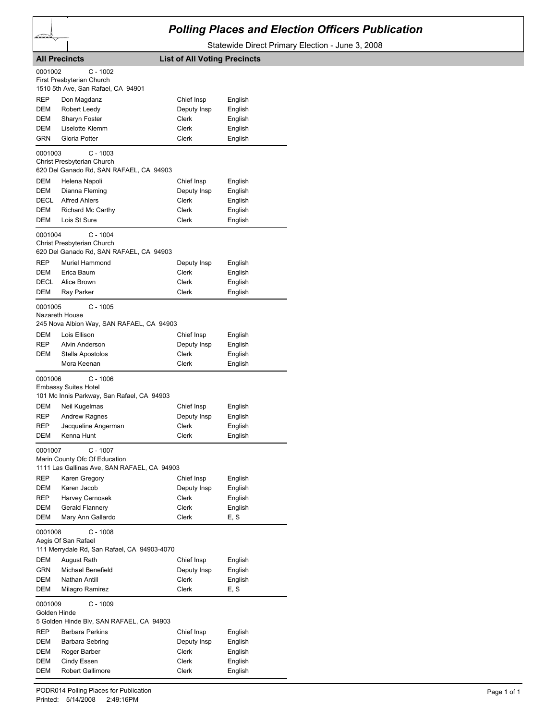## *Polling Places and Election Officers Publication*

Statewide Direct Primary Election - June 3, 2008

|                         | <b>All Precincts</b>                                                                     | <b>List of All Voting Precincts</b> |         |
|-------------------------|------------------------------------------------------------------------------------------|-------------------------------------|---------|
| 0001002                 | C - 1002                                                                                 |                                     |         |
|                         | First Presbyterian Church                                                                |                                     |         |
|                         | 1510 5th Ave, San Rafael, CA 94901                                                       |                                     |         |
| REP                     | Don Magdanz                                                                              | Chief Insp                          | English |
| DEM                     | Robert Leedy                                                                             | Deputy Insp                         | English |
| DEM                     | Sharyn Foster                                                                            | Clerk                               | English |
| DEM                     | Liselotte Klemm                                                                          | Clerk                               | English |
| <b>GRN</b>              | Gloria Potter                                                                            | Clerk                               | English |
| 0001003                 | C - 1003                                                                                 |                                     |         |
|                         | Christ Presbyterian Church<br>620 Del Ganado Rd, SAN RAFAEL, CA 94903                    |                                     |         |
| DEM                     | Helena Napoli                                                                            | Chief Insp                          | English |
| DEM                     | Dianna Fleming                                                                           | Deputy Insp                         | English |
| <b>DECL</b>             | <b>Alfred Ahlers</b>                                                                     | Clerk                               | English |
| DEM                     | Richard Mc Carthy                                                                        | Clerk                               | English |
| DEM                     | Lois St Sure                                                                             | Clerk                               | English |
| 0001004                 | C - 1004<br>Christ Presbyterian Church<br>620 Del Ganado Rd, SAN RAFAEL, CA 94903        |                                     |         |
| REP                     | Muriel Hammond                                                                           | Deputy Insp                         | English |
| DEM                     | Erica Baum                                                                               | Clerk                               | English |
| DECL                    | Alice Brown                                                                              | Clerk                               | English |
| DEM                     | Ray Parker                                                                               | Clerk                               | English |
| 0001005                 | C - 1005<br>Nazareth House                                                               |                                     |         |
|                         | 245 Nova Albion Way, SAN RAFAEL, CA 94903                                                |                                     |         |
| DEM                     | Lois Ellison                                                                             | Chief Insp                          | English |
| REP                     | Alvin Anderson                                                                           | Deputy Insp                         | English |
| DEM                     | Stella Apostolos                                                                         | Clerk                               | English |
|                         | Mora Keenan                                                                              | Clerk                               | English |
| 0001006                 | C - 1006<br><b>Embassy Suites Hotel</b><br>101 Mc Innis Parkway, San Rafael, CA 94903    |                                     |         |
| DEM                     | Neil Kugelmas                                                                            | Chief Insp                          | English |
| REP                     | <b>Andrew Ragnes</b>                                                                     | Deputy Insp                         | English |
| REP                     | Jacqueline Angerman                                                                      | <b>Clerk</b>                        | English |
| DEM                     | Kenna Hunt                                                                               | Clerk                               | English |
| 0001007                 | C - 1007<br>Marin County Ofc Of Education<br>1111 Las Gallinas Ave, SAN RAFAEL, CA 94903 |                                     |         |
| <b>REP</b>              | Karen Gregory                                                                            | Chief Insp                          | English |
| DEM                     | Karen Jacob                                                                              | Deputy Insp                         | English |
| REP                     | Harvey Cernosek                                                                          | Clerk                               | English |
| DEM                     | Gerald Flannery                                                                          | Clerk                               | English |
| <b>DEM</b>              | Mary Ann Gallardo                                                                        | Clerk                               | E, S    |
| 0001008                 | C - 1008<br>Aegis Of San Rafael<br>111 Merrydale Rd, San Rafael, CA 94903-4070           |                                     |         |
| DEM                     | August Rath                                                                              | Chief Insp                          | English |
| <b>GRN</b>              | Michael Benefield                                                                        | Deputy Insp                         | English |
| DEM                     | <b>Nathan Antill</b>                                                                     | Clerk                               | English |
| DEM                     | Milagro Ramirez                                                                          | Clerk                               | E, S    |
| 0001009<br>Golden Hinde | C - 1009<br>5 Golden Hinde Blv, SAN RAFAEL, CA 94903                                     |                                     |         |
| <b>REP</b>              | <b>Barbara Perkins</b>                                                                   | Chief Insp                          | English |
| DEM                     | Barbara Sebring                                                                          | Deputy Insp                         | English |
| DEM                     | Roger Barber                                                                             | Clerk                               | English |
| DEM                     | Cindy Essen                                                                              | Clerk                               | English |
| DEM                     | <b>Robert Gallimore</b>                                                                  | Clerk                               | English |
|                         |                                                                                          |                                     |         |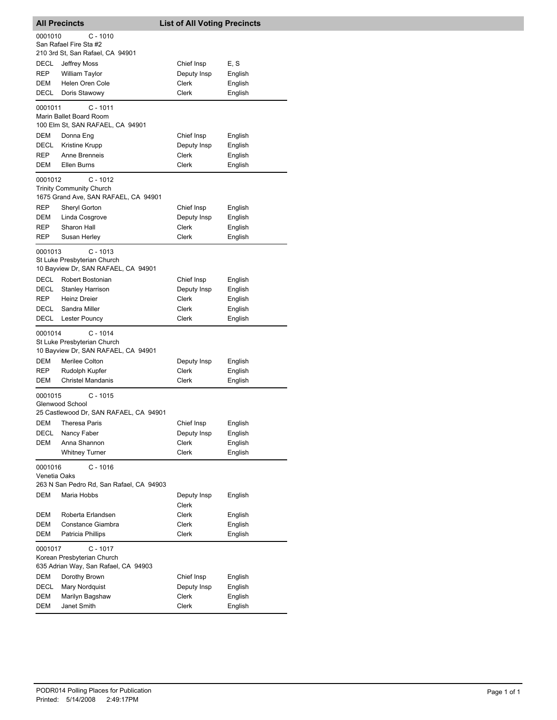| <b>All Precincts</b>    |                                                                                  | <b>List of All Voting Precincts</b> |                    |
|-------------------------|----------------------------------------------------------------------------------|-------------------------------------|--------------------|
| 0001010                 | C - 1010<br>San Rafael Fire Sta #2<br>210 3rd St, San Rafael, CA 94901           |                                     |                    |
| DECL                    | Jeffrey Moss                                                                     | Chief Insp                          | E, S               |
| REP                     | <b>William Taylor</b>                                                            | Deputy Insp                         | English            |
| DEM                     | Helen Oren Cole                                                                  | Clerk                               | English            |
| DECL                    | Doris Stawowy                                                                    | Clerk                               | English            |
| 0001011                 | C - 1011<br>Marin Ballet Board Room<br>100 Elm St, SAN RAFAEL, CA 94901          |                                     |                    |
| DEM                     | Donna Eng                                                                        | Chief Insp                          | English            |
| DECL                    | <b>Kristine Krupp</b>                                                            | Deputy Insp                         | English            |
| REP                     | Anne Brenneis                                                                    | Clerk                               | English            |
| DEM                     | Ellen Burns                                                                      | Clerk                               | English            |
| 0001012                 | $C - 1012$<br><b>Trinity Community Church</b>                                    |                                     |                    |
|                         | 1675 Grand Ave, SAN RAFAEL, CA 94901                                             |                                     |                    |
| REP                     | Sheryl Gorton                                                                    | Chief Insp                          | English            |
| DEM<br>REP              | Linda Cosgrove<br>Sharon Hall                                                    | Deputy Insp<br>Clerk                | English            |
| REP                     | Susan Herley                                                                     | Clerk                               | English<br>English |
|                         |                                                                                  |                                     |                    |
| 0001013                 | $C - 1013$<br>St Luke Presbyterian Church<br>10 Bayview Dr, SAN RAFAEL, CA 94901 |                                     |                    |
| DECL                    | Robert Bostonian                                                                 | Chief Insp                          | English            |
| DECL                    | <b>Stanley Harrison</b>                                                          | Deputy Insp                         | English            |
| <b>REP</b>              | <b>Heinz Dreier</b>                                                              | Clerk                               | English            |
| DECL                    | Sandra Miller                                                                    | Clerk                               | English            |
| DECL                    | Lester Pouncy                                                                    | Clerk                               | English            |
| 0001014                 | $C - 1014$<br>St Luke Presbyterian Church<br>10 Bayview Dr, SAN RAFAEL, CA 94901 |                                     |                    |
| DEM                     | Merilee Colton                                                                   | Deputy Insp                         | English            |
| REP                     | Rudolph Kupfer                                                                   | Clerk                               | English            |
| DEM                     | <b>Christel Mandanis</b>                                                         | Clerk                               | English            |
| 0001015                 | $C - 1015$<br>Glenwood School<br>25 Castlewood Dr, SAN RAFAEL, CA 94901          |                                     |                    |
| DEM                     | Theresa Paris                                                                    | Chief Insp                          | English            |
| DECL                    | Nancy Faber                                                                      | Deputy Insp                         | English            |
| DEM                     | Anna Shannon                                                                     | <b>Clerk</b>                        | English            |
|                         | <b>Whitney Turner</b>                                                            | Clerk                               | English            |
| 0001016<br>Venetia Oaks | $C - 1016$<br>263 N San Pedro Rd, San Rafael, CA 94903                           |                                     |                    |
| DEM                     | Maria Hobbs                                                                      | Deputy Insp                         | English            |
| DEM                     | Roberta Erlandsen                                                                | Clerk<br>Clerk                      | English            |
| DEM                     | Constance Giambra                                                                | Clerk                               | English            |
| DEM                     | Patricia Phillips                                                                | Clerk                               | English            |
| 0001017                 | $C - 1017$<br>Korean Presbyterian Church<br>635 Adrian Way, San Rafael, CA 94903 |                                     |                    |
| DEM                     | Dorothy Brown                                                                    | Chief Insp                          | English            |
| DECL                    | Mary Nordquist                                                                   | Deputy Insp                         | English            |
| DEM                     | Marilyn Bagshaw                                                                  | Clerk                               | English            |
| DEM                     | Janet Smith                                                                      | Clerk                               | English            |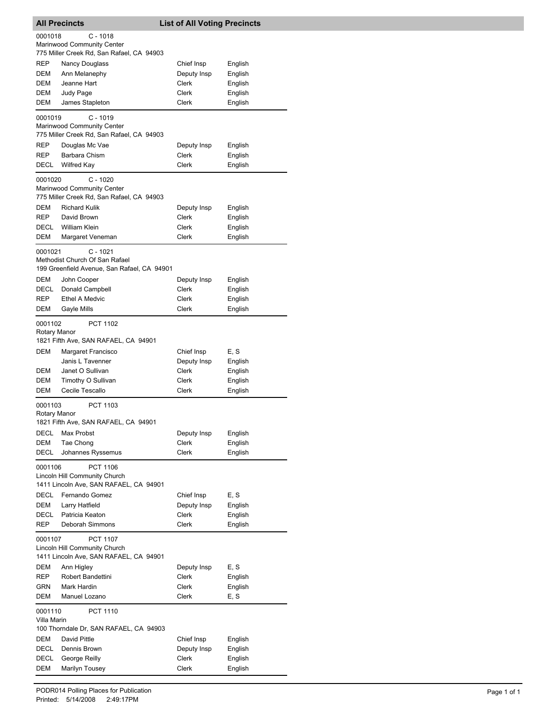|              | <b>All Precincts</b>                                                    | <b>List of All Voting Precincts</b> |         |
|--------------|-------------------------------------------------------------------------|-------------------------------------|---------|
| 0001018      | $C - 1018$                                                              |                                     |         |
|              | Marinwood Community Center                                              |                                     |         |
|              | 775 Miller Creek Rd, San Rafael, CA 94903                               |                                     |         |
| REP          | <b>Nancy Douglass</b>                                                   | Chief Insp                          | English |
| DEM          | Ann Melanephy                                                           | Deputy Insp                         | English |
| DEM          | Jeanne Hart                                                             | Clerk                               | English |
| DEM          | Judy Page                                                               | Clerk                               | English |
| DEM          | James Stapleton                                                         | Clerk                               | English |
|              |                                                                         |                                     |         |
| 0001019      | $C - 1019$                                                              |                                     |         |
|              | Marinwood Community Center<br>775 Miller Creek Rd, San Rafael, CA 94903 |                                     |         |
|              |                                                                         |                                     |         |
| REP          | Douglas Mc Vae                                                          | Deputy Insp                         | English |
| REP          | Barbara Chism                                                           | Clerk                               | English |
| DECL         | <b>Wilfred Kay</b>                                                      | <b>Clerk</b>                        | English |
| 0001020      | $C - 1020$                                                              |                                     |         |
|              | Marinwood Community Center                                              |                                     |         |
|              | 775 Miller Creek Rd, San Rafael, CA 94903                               |                                     |         |
| DEM          | <b>Richard Kulik</b>                                                    | Deputy Insp                         | English |
| <b>REP</b>   | David Brown                                                             | Clerk                               | English |
| DECL         | <b>William Klein</b>                                                    | Clerk                               | English |
| <b>DEM</b>   | Margaret Veneman                                                        | Clerk                               | English |
|              |                                                                         |                                     |         |
| 0001021      | $C - 1021$                                                              |                                     |         |
|              | Methodist Church Of San Rafael                                          |                                     |         |
|              | 199 Greenfield Avenue, San Rafael, CA 94901                             |                                     |         |
| DEM          | John Cooper                                                             | Deputy Insp                         | English |
| DECL         | Donald Campbell                                                         | Clerk                               | English |
| REP          | <b>Ethel A Medvic</b>                                                   | Clerk                               | English |
| DEM          | Gayle Mills                                                             | Clerk                               | English |
| 0001102      | <b>PCT 1102</b>                                                         |                                     |         |
| Rotary Manor |                                                                         |                                     |         |
|              | 1821 Fifth Ave, SAN RAFAEL, CA 94901                                    |                                     |         |
| DEM          | Margaret Francisco                                                      | Chief Insp                          | E, S    |
|              | Janis L Tavenner                                                        | Deputy Insp                         | English |
| DEM          | Janet O Sullivan                                                        | Clerk                               | English |
| DEM          | Timothy O Sullivan                                                      | Clerk                               | English |
| DEM          | Cecile Tescallo                                                         | Clerk                               | English |
|              |                                                                         |                                     |         |
| 0001103      | PCT 1103                                                                |                                     |         |
| Rotary Manor |                                                                         |                                     |         |
|              | 1821 Fifth Ave, SAN RAFAEL, CA 94901                                    |                                     |         |
| DECL         | Max Probst                                                              | Deputy Insp                         | English |
| DEM          | Tae Chong                                                               | Clerk                               | English |
| DECL         | Johannes Ryssemus                                                       | Clerk                               | English |
| 0001106      | PCT 1106                                                                |                                     |         |
|              | Lincoln Hill Community Church                                           |                                     |         |
|              | 1411 Lincoln Ave, SAN RAFAEL, CA 94901                                  |                                     |         |
| DECL         | Fernando Gomez                                                          | Chief Insp                          | E, S    |
| <b>DEM</b>   | Larry Hatfield                                                          | Deputy Insp                         | English |
| DECL         | Patricia Keaton                                                         | Clerk                               | English |
| REP          | Deborah Simmons                                                         | Clerk                               | English |
|              |                                                                         |                                     |         |
| 0001107      | <b>PCT 1107</b>                                                         |                                     |         |
|              | Lincoln Hill Community Church                                           |                                     |         |
|              | 1411 Lincoln Ave, SAN RAFAEL, CA 94901                                  |                                     |         |
| DEM          | Ann Higley                                                              | Deputy Insp                         | E, S    |
| REP          | Robert Bandettini                                                       | Clerk                               | English |
| GRN          | Mark Hardin                                                             | Clerk                               | English |
| DEM          | Manuel Lozano                                                           | Clerk                               | E, S    |
| 0001110      | PCT 1110                                                                |                                     |         |
| Villa Marin  |                                                                         |                                     |         |
|              | 100 Thorndale Dr, SAN RAFAEL, CA 94903                                  |                                     |         |
| DEM          | David Pittle                                                            | Chief Insp                          | English |
| DECL         | Dennis Brown                                                            | Deputy Insp                         | English |
| <b>DECL</b>  | George Reilly                                                           | Clerk                               | English |
| DEM          | Marilyn Tousey                                                          | Clerk                               | English |
|              |                                                                         |                                     |         |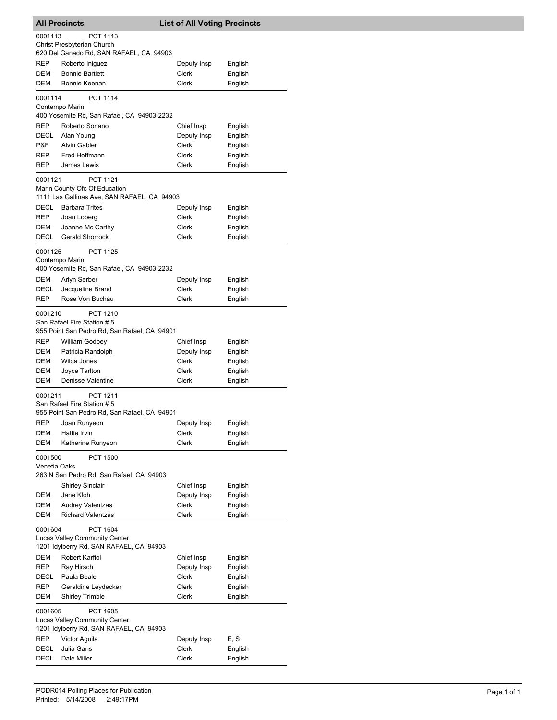| <b>All Precincts</b>    |                                                                                                 | <b>List of All Voting Precincts</b> |                    |  |  |
|-------------------------|-------------------------------------------------------------------------------------------------|-------------------------------------|--------------------|--|--|
| 0001113                 | PCT 1113<br>Christ Presbyterian Church<br>620 Del Ganado Rd, SAN RAFAEL, CA 94903               |                                     |                    |  |  |
| <b>REP</b>              | Roberto Iniguez                                                                                 | Deputy Insp                         | English            |  |  |
| DEM                     | <b>Bonnie Bartlett</b>                                                                          | Clerk                               | English            |  |  |
| DEM                     | Bonnie Keenan                                                                                   | Clerk                               | English            |  |  |
| 0001114                 | <b>PCT 1114</b><br>Contempo Marin                                                               |                                     |                    |  |  |
|                         | 400 Yosemite Rd, San Rafael, CA 94903-2232                                                      |                                     |                    |  |  |
| <b>REP</b>              | Roberto Soriano                                                                                 | Chief Insp                          | English            |  |  |
| DECL                    | Alan Young                                                                                      | Deputy Insp                         | English            |  |  |
| P&F                     | <b>Alvin Gabler</b>                                                                             | Clerk                               | English            |  |  |
| <b>REP</b>              | Fred Hoffmann                                                                                   | Clerk                               | English            |  |  |
| <b>REP</b>              | James Lewis                                                                                     | Clerk                               | English            |  |  |
| 0001121                 | PCT 1121                                                                                        |                                     |                    |  |  |
|                         | Marin County Ofc Of Education                                                                   |                                     |                    |  |  |
|                         | 1111 Las Gallinas Ave, SAN RAFAEL, CA 94903                                                     |                                     |                    |  |  |
| DECL                    | <b>Barbara Trites</b>                                                                           | Deputy Insp                         | English            |  |  |
| <b>REP</b>              | Joan Loberg                                                                                     | Clerk                               | English            |  |  |
| DEM                     | Joanne Mc Carthy                                                                                | Clerk                               | English            |  |  |
| DECL                    | <b>Gerald Shorrock</b>                                                                          | Clerk                               | English            |  |  |
| 0001125                 | <b>PCT 1125</b><br>Contempo Marin                                                               |                                     |                    |  |  |
|                         | 400 Yosemite Rd, San Rafael, CA 94903-2232                                                      |                                     |                    |  |  |
| DEM                     | Arlyn Serber                                                                                    | Deputy Insp<br>Clerk                | English            |  |  |
| DECL<br><b>REP</b>      | Jacqueline Brand<br>Rose Von Buchau                                                             | Clerk                               | English<br>English |  |  |
|                         |                                                                                                 |                                     |                    |  |  |
| 0001210                 | PCT 1210<br>San Rafael Fire Station #5<br>955 Point San Pedro Rd, San Rafael, CA 94901          |                                     |                    |  |  |
| REP                     | William Godbey                                                                                  | Chief Insp                          | English            |  |  |
| DEM                     | Patricia Randolph                                                                               | Deputy Insp                         | English            |  |  |
| DEM                     | Wilda Jones                                                                                     | Clerk                               | English            |  |  |
| DEM                     | Joyce Tarlton                                                                                   | Clerk                               | English            |  |  |
| DEM                     | Denisse Valentine                                                                               | Clerk                               | English            |  |  |
| 0001211                 | PCT 1211<br>San Rafael Fire Station #5<br>955 Point San Pedro Rd, San Rafael, CA 94901          |                                     |                    |  |  |
| <b>REP</b>              | Joan Runyeon                                                                                    | Deputy Insp                         | English            |  |  |
| DEM                     | Hattie Irvin                                                                                    | <b>Clerk</b>                        | English            |  |  |
| DEM                     | Katherine Runyeon                                                                               | Clerk                               | English            |  |  |
| 0001500<br>Venetia Oaks | <b>PCT 1500</b><br>263 N San Pedro Rd, San Rafael, CA 94903                                     |                                     |                    |  |  |
|                         | <b>Shirley Sinclair</b>                                                                         | Chief Insp                          | English            |  |  |
| DEM                     | Jane Kloh                                                                                       | Deputy Insp                         | English            |  |  |
| DEM                     | <b>Audrey Valentzas</b>                                                                         | Clerk                               | English            |  |  |
| DEM                     | <b>Richard Valentzas</b>                                                                        | Clerk                               | English            |  |  |
|                         | PCT 1604<br>0001604<br>Lucas Valley Community Center<br>1201 Idylberry Rd, SAN RAFAEL, CA 94903 |                                     |                    |  |  |
| <b>DEM</b>              | Robert Karfiol                                                                                  | Chief Insp                          | English            |  |  |
| <b>REP</b>              | Ray Hirsch                                                                                      | Deputy Insp                         | English            |  |  |
| DECL                    | Paula Beale                                                                                     | Clerk                               | English            |  |  |
| REP                     | Geraldine Leydecker                                                                             | Clerk                               | English            |  |  |
| DEM                     | <b>Shirley Trimble</b>                                                                          | Clerk                               | English            |  |  |
| 0001605                 | <b>PCT 1605</b><br>Lucas Valley Community Center<br>1201 Idylberry Rd, SAN RAFAEL, CA 94903     |                                     |                    |  |  |
| <b>REP</b>              | Victor Aguila                                                                                   | Deputy Insp                         | E, S               |  |  |
| DECL                    | Julia Gans                                                                                      | Clerk                               | English            |  |  |
| DECL                    | Dale Miller                                                                                     | Clerk                               | English            |  |  |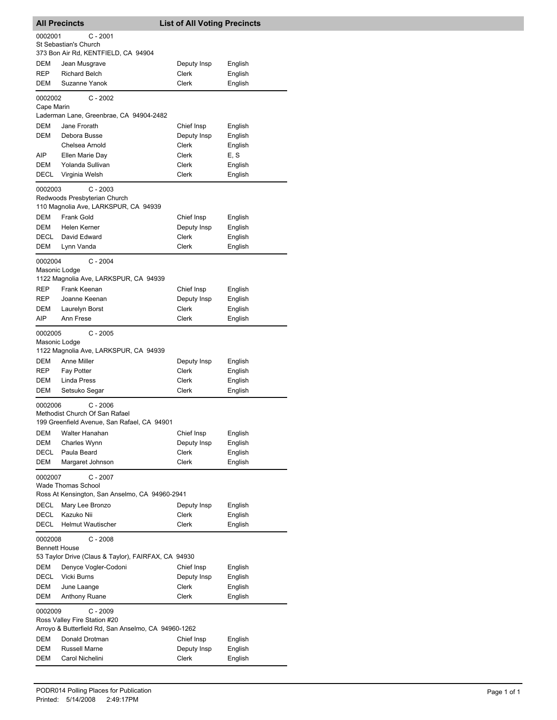| <b>All Precincts</b>                   |                                                                                                                                               | <b>List of All Voting Precincts</b> |                               |  |  |
|----------------------------------------|-----------------------------------------------------------------------------------------------------------------------------------------------|-------------------------------------|-------------------------------|--|--|
|                                        | 0002001<br>C - 2001                                                                                                                           |                                     |                               |  |  |
|                                        | St Sebastian's Church                                                                                                                         |                                     |                               |  |  |
|                                        | 373 Bon Air Rd, KENTFIELD, CA 94904                                                                                                           |                                     |                               |  |  |
| DEM                                    | Jean Musgrave                                                                                                                                 | Deputy Insp                         | English                       |  |  |
| REP                                    | <b>Richard Belch</b>                                                                                                                          | Clerk                               | English                       |  |  |
| <b>DEM</b>                             | Suzanne Yanok                                                                                                                                 | Clerk                               | English                       |  |  |
| 0002002                                | $C - 2002$                                                                                                                                    |                                     |                               |  |  |
| Cape Marin                             |                                                                                                                                               |                                     |                               |  |  |
|                                        | Laderman Lane, Greenbrae, CA 94904-2482<br>Jane Frorath                                                                                       |                                     |                               |  |  |
| DEM<br>DEM                             | Debora Busse                                                                                                                                  | Chief Insp<br>Deputy Insp           | English<br>English            |  |  |
|                                        | Chelsea Arnold                                                                                                                                | Clerk                               | English                       |  |  |
| AIP                                    | Ellen Marie Day                                                                                                                               | Clerk                               | E, S                          |  |  |
| DEM                                    | Yolanda Sullivan                                                                                                                              | Clerk                               | English                       |  |  |
| DECL                                   | Virginia Welsh                                                                                                                                | Clerk                               | English                       |  |  |
| 0002003                                | $C - 2003$<br>Redwoods Presbyterian Church<br>110 Magnolia Ave, LARKSPUR, CA 94939                                                            |                                     |                               |  |  |
| <b>DEM</b>                             | Frank Gold                                                                                                                                    | Chief Insp                          | English                       |  |  |
| DEM                                    | Helen Kerner                                                                                                                                  | Deputy Insp                         | English                       |  |  |
| DECL                                   | David Edward                                                                                                                                  | Clerk                               | English                       |  |  |
| DEM                                    | Lynn Vanda                                                                                                                                    | Clerk                               | English                       |  |  |
| 0002004<br>Masonic Lodge<br>REP<br>REP | $C - 2004$<br>1122 Magnolia Ave, LARKSPUR, CA 94939<br>Frank Keenan<br>Joanne Keenan                                                          | Chief Insp<br>Deputy Insp           | English<br>English            |  |  |
| DEM                                    | Laurelyn Borst                                                                                                                                | Clerk                               | English                       |  |  |
| AIP                                    | Ann Frese                                                                                                                                     | Clerk                               | English                       |  |  |
| 0002005<br>Masonic Lodge               | $C - 2005$<br>1122 Magnolia Ave, LARKSPUR, CA 94939                                                                                           |                                     |                               |  |  |
| DEM                                    | Anne Miller                                                                                                                                   | Deputy Insp                         | English                       |  |  |
| REP                                    | Fay Potter                                                                                                                                    | Clerk                               | English                       |  |  |
| DEM                                    | <b>Linda Press</b>                                                                                                                            | Clerk                               | English                       |  |  |
| DEM                                    | Setsuko Segar                                                                                                                                 | Clerk                               | English                       |  |  |
| 0002006                                | $C - 2006$<br>Methodist Church Of San Rafael<br>199 Greenfield Avenue, San Rafael, CA 94901                                                   |                                     |                               |  |  |
| DEM                                    | Walter Hanahan                                                                                                                                | Chief Insp                          | English                       |  |  |
| DEM<br>DECL                            | Charles Wynn<br>Paula Beard                                                                                                                   | Deputy Insp<br>Clerk                | English<br>English            |  |  |
| DEM                                    | Margaret Johnson                                                                                                                              | Clerk                               | English                       |  |  |
| 0002007<br>DECL<br>DECL<br>DECL        | C - 2007<br>Wade Thomas School<br>Ross At Kensington, San Anselmo, CA 94960-2941<br>Mary Lee Bronzo<br>Kazuko Nii<br><b>Helmut Wautischer</b> | Deputy Insp<br>Clerk<br>Clerk       | English<br>English<br>English |  |  |
| 0002008<br><b>Bennett House</b>        | $C - 2008$<br>53 Taylor Drive (Claus & Taylor), FAIRFAX, CA 94930                                                                             |                                     |                               |  |  |
| DEM                                    | Denyce Vogler-Codoni                                                                                                                          | Chief Insp                          | English                       |  |  |
| DECL                                   | Vicki Burns                                                                                                                                   | Deputy Insp                         | English                       |  |  |
| DEM<br>DEM                             | June Laange<br>Anthony Ruane                                                                                                                  | Clerk<br>Clerk                      | English<br>English            |  |  |
|                                        |                                                                                                                                               |                                     |                               |  |  |
| 0002009                                | $C - 2009$<br>Ross Valley Fire Station #20<br>Arroyo & Butterfield Rd, San Anselmo, CA 94960-1262                                             |                                     |                               |  |  |
| DEM                                    | Donald Drotman                                                                                                                                | Chief Insp                          | English                       |  |  |
| DEM                                    | Russell Marne                                                                                                                                 | Deputy Insp                         | English                       |  |  |
| DEM                                    | Carol Nichelini                                                                                                                               | Clerk                               | English                       |  |  |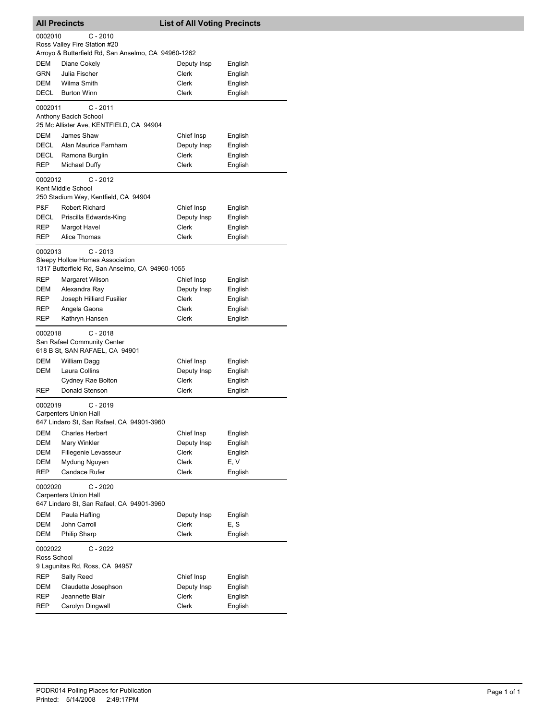| <b>All Precincts</b>                                  |                                                                                                  | <b>List of All Voting Precincts</b> |         |  |
|-------------------------------------------------------|--------------------------------------------------------------------------------------------------|-------------------------------------|---------|--|
| 0002010                                               | C - 2010<br>Ross Valley Fire Station #20<br>Arroyo & Butterfield Rd, San Anselmo, CA 94960-1262  |                                     |         |  |
| <b>DEM</b>                                            | Diane Cokely                                                                                     | Deputy Insp                         | English |  |
| GRN                                                   | Julia Fischer                                                                                    | <b>Clerk</b>                        | English |  |
| DEM                                                   | Wilma Smith                                                                                      | Clerk                               | English |  |
| DECL                                                  | <b>Burton Winn</b>                                                                               | Clerk                               | English |  |
|                                                       |                                                                                                  |                                     |         |  |
| 0002011                                               | C - 2011<br>Anthony Bacich School<br>25 Mc Allister Ave, KENTFIELD, CA 94904                     |                                     |         |  |
| DEM                                                   | James Shaw                                                                                       | Chief Insp                          | English |  |
| DECL                                                  | Alan Maurice Farnham                                                                             | Deputy Insp                         | English |  |
| DECL                                                  | Ramona Burglin                                                                                   | Clerk                               | English |  |
| REP                                                   | Michael Duffy                                                                                    | <b>Clerk</b>                        | English |  |
| 0002012                                               | $C - 2012$<br>Kent Middle School                                                                 |                                     |         |  |
|                                                       | 250 Stadium Way, Kentfield, CA 94904                                                             |                                     |         |  |
| P&F                                                   | <b>Robert Richard</b>                                                                            | Chief Insp                          | English |  |
| DECL                                                  | Priscilla Edwards-King                                                                           | Deputy Insp                         | English |  |
| REP                                                   | Margot Havel                                                                                     | Clerk                               | English |  |
| REP                                                   | Alice Thomas                                                                                     | Clerk                               | English |  |
| 0002013                                               | $C - 2013$<br>Sleepy Hollow Homes Association<br>1317 Butterfield Rd, San Anselmo, CA 94960-1055 |                                     |         |  |
|                                                       |                                                                                                  |                                     |         |  |
| REP                                                   | Margaret Wilson                                                                                  | Chief Insp                          | English |  |
| DEM                                                   | Alexandra Ray                                                                                    | Deputy Insp                         | English |  |
| REP                                                   | Joseph Hilliard Fusilier                                                                         | Clerk                               | English |  |
| REP                                                   | Angela Gaona                                                                                     | Clerk                               | English |  |
| REP                                                   | Kathryn Hansen                                                                                   | Clerk                               | English |  |
| 0002018                                               | $C - 2018$<br>San Rafael Community Center<br>618 B St, SAN RAFAEL, CA 94901                      |                                     |         |  |
| DEM                                                   | William Dagg                                                                                     | Chief Insp                          | English |  |
| DEM                                                   | Laura Collins                                                                                    | Deputy Insp                         | English |  |
|                                                       | Cydney Rae Bolton                                                                                | Clerk                               | English |  |
| REP                                                   | Donald Stenson                                                                                   | Clerk                               | English |  |
| 0002019                                               | C - 2019<br><b>Carpenters Union Hall</b><br>647 Lindaro St, San Rafael, CA 94901-3960            |                                     |         |  |
| DEM                                                   | <b>Charles Herbert</b>                                                                           | Chief Insp                          | English |  |
| DEM                                                   | Mary Winkler                                                                                     | Deputy Insp                         | English |  |
| DEM                                                   | Fillegenie Levasseur                                                                             | Clerk                               | English |  |
|                                                       |                                                                                                  | Clerk                               | E, V    |  |
| DEM<br>REP                                            | Mydung Nguyen<br>Candace Rufer                                                                   | Clerk                               | English |  |
| $C - 2020$<br>0002020<br><b>Carpenters Union Hall</b> |                                                                                                  |                                     |         |  |
|                                                       | 647 Lindaro St, San Rafael, CA 94901-3960                                                        |                                     |         |  |
| DEM                                                   | Paula Hafling                                                                                    | Deputy Insp                         | English |  |
| DEM                                                   | John Carroll                                                                                     | Clerk                               | E, S    |  |
| DEM                                                   | Philip Sharp                                                                                     | Clerk                               | English |  |
| 0002022<br>Ross School                                | $C - 2022$                                                                                       |                                     |         |  |
|                                                       | 9 Lagunitas Rd, Ross, CA 94957                                                                   |                                     |         |  |
| REP                                                   | Sally Reed                                                                                       | Chief Insp                          | English |  |
| DEM                                                   | Claudette Josephson                                                                              | Deputy Insp                         | English |  |
| REP                                                   | Jeannette Blair                                                                                  | Clerk                               | English |  |
| REP                                                   | Carolyn Dingwall                                                                                 | Clerk                               | English |  |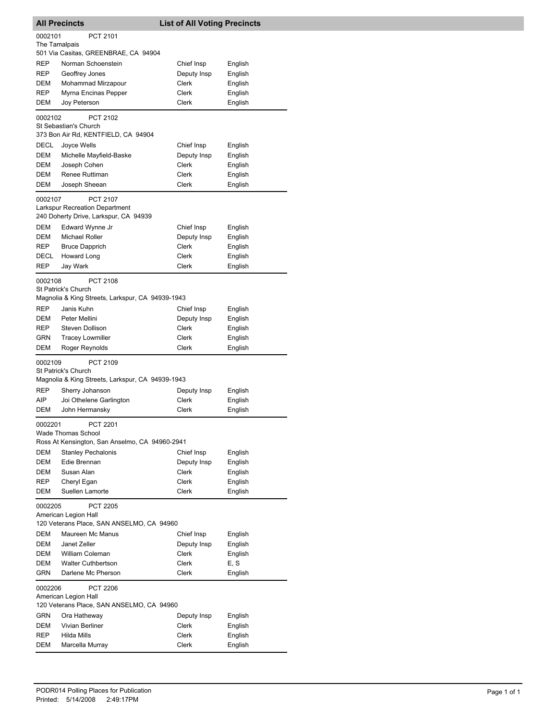|               | <b>All Precincts</b>                                                                              | <b>List of All Voting Precincts</b> |         |  |  |
|---------------|---------------------------------------------------------------------------------------------------|-------------------------------------|---------|--|--|
| 0002101       | PCT 2101                                                                                          |                                     |         |  |  |
| The Tamalpais |                                                                                                   |                                     |         |  |  |
|               | 501 Via Casitas, GREENBRAE, CA 94904                                                              |                                     |         |  |  |
| REP           | Norman Schoenstein                                                                                | Chief Insp                          | English |  |  |
| REP           | Geoffrey Jones                                                                                    | Deputy Insp                         | English |  |  |
| DEM           | Mohammad Mirzapour                                                                                | Clerk                               | English |  |  |
| REP           | Myrna Encinas Pepper                                                                              | Clerk                               | English |  |  |
| DEM           | Joy Peterson                                                                                      | Clerk                               | English |  |  |
| 0002102       | PCT 2102                                                                                          |                                     |         |  |  |
|               | St Sebastian's Church                                                                             |                                     |         |  |  |
|               | 373 Bon Air Rd, KENTFIELD, CA 94904                                                               |                                     |         |  |  |
| DECL          | Joyce Wells                                                                                       | Chief Insp                          | English |  |  |
| DEM           | Michelle Mayfield-Baske                                                                           | Deputy Insp                         | English |  |  |
| DEM           | Joseph Cohen                                                                                      | Clerk                               | English |  |  |
| DEM           | Renee Ruttiman                                                                                    | Clerk                               | English |  |  |
| DEM           | Joseph Sheean                                                                                     | Clerk                               | English |  |  |
| 0002107       | <b>PCT 2107</b><br><b>Larkspur Recreation Department</b><br>240 Doherty Drive, Larkspur, CA 94939 |                                     |         |  |  |
| DEM           | Edward Wynne Jr                                                                                   | Chief Insp                          | English |  |  |
| DEM           | Michael Roller                                                                                    | Deputy Insp                         | English |  |  |
| REP           | <b>Bruce Dapprich</b>                                                                             | Clerk                               | English |  |  |
| DECL          | Howard Long                                                                                       | Clerk                               | English |  |  |
| REP           | Jay Wark                                                                                          | Clerk                               | English |  |  |
| 0002108       | <b>PCT 2108</b>                                                                                   |                                     |         |  |  |
|               | St Patrick's Church<br>Magnolia & King Streets, Larkspur, CA 94939-1943                           |                                     |         |  |  |
| REP           | Janis Kuhn                                                                                        | Chief Insp                          | English |  |  |
| DEM           | Peter Mellini                                                                                     | Deputy Insp                         | English |  |  |
| REP           | <b>Steven Dollison</b>                                                                            | Clerk                               | English |  |  |
| GRN           | <b>Tracey Lowmiller</b>                                                                           | Clerk                               | English |  |  |
| DEM           | Roger Reynolds                                                                                    | Clerk                               | English |  |  |
| 0002109       | PCT 2109<br><b>St Patrick's Church</b><br>Magnolia & King Streets, Larkspur, CA 94939-1943        |                                     |         |  |  |
| <b>REP</b>    | Sherry Johanson                                                                                   | Deputy Insp                         | English |  |  |
| AIP           | Joi Othelene Garlington                                                                           | Clerk                               | English |  |  |
| DEM           | John Hermansky                                                                                    | Clerk                               | English |  |  |
| 0002201       | PCT 2201<br><b>Wade Thomas School</b><br>Ross At Kensington, San Anselmo, CA 94960-2941           |                                     |         |  |  |
| <b>DEM</b>    | <b>Stanley Pechalonis</b>                                                                         | Chief Insp                          | English |  |  |
| DEM           | Edie Brennan                                                                                      | Deputy Insp                         | English |  |  |
| DEM           | Susan Alan                                                                                        | <b>Clerk</b>                        | English |  |  |
| REP           | Cheryl Egan                                                                                       | Clerk                               | English |  |  |
| DEM           | Suellen Lamorte                                                                                   | Clerk                               | English |  |  |
|               | <b>PCT 2205</b><br>0002205<br>American Legion Hall<br>120 Veterans Place, SAN ANSELMO, CA 94960   |                                     |         |  |  |
| DEM           | Maureen Mc Manus                                                                                  | Chief Insp                          | English |  |  |
| DEM           | Janet Zeller                                                                                      | Deputy Insp                         | English |  |  |
| DEM           | William Coleman                                                                                   | Clerk                               | English |  |  |
| DEM           | <b>Walter Cuthbertson</b>                                                                         | Clerk                               | E, S    |  |  |
| GRN           | Darlene Mc Pherson                                                                                | Clerk                               | English |  |  |
| 0002206       | <b>PCT 2206</b><br>American Legion Hall<br>120 Veterans Place, SAN ANSELMO, CA 94960              |                                     |         |  |  |
| GRN           | Ora Hatheway                                                                                      | Deputy Insp                         | English |  |  |
| DEM           | Vivian Berliner                                                                                   | Clerk                               | English |  |  |
| REP           | Hilda Mills                                                                                       | Clerk                               | English |  |  |
| DEM           | Marcella Murray                                                                                   | Clerk                               | English |  |  |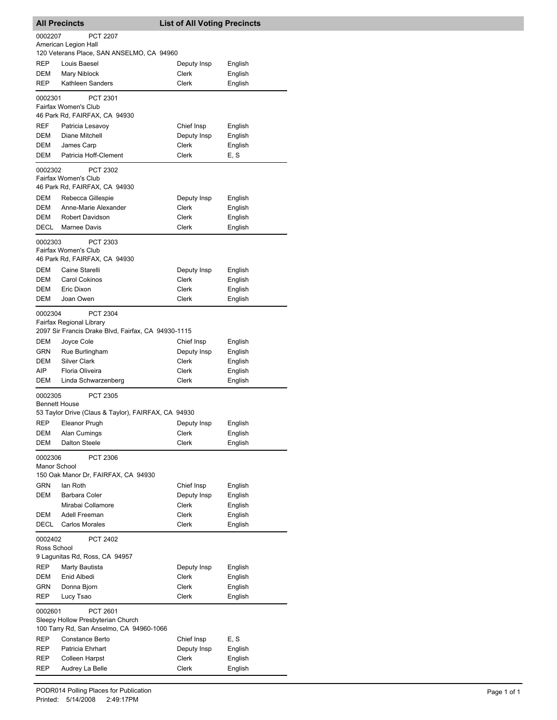| <b>All Precincts</b>   |                                                     | <b>List of All Voting Precincts</b> |         |
|------------------------|-----------------------------------------------------|-------------------------------------|---------|
| 0002207                | <b>PCT 2207</b>                                     |                                     |         |
|                        | American Legion Hall                                |                                     |         |
|                        | 120 Veterans Place, SAN ANSELMO, CA 94960           |                                     |         |
| REP                    | Louis Baesel                                        | Deputy Insp                         | English |
| DEM                    | Mary Niblock                                        | Clerk                               | English |
| <b>REP</b>             | Kathleen Sanders                                    | Clerk                               | English |
| 0002301                | PCT 2301                                            |                                     |         |
|                        | Fairfax Women's Club                                |                                     |         |
|                        | 46 Park Rd, FAIRFAX, CA 94930                       |                                     |         |
| REF                    | Patricia Lesavoy                                    | Chief Insp                          | English |
| DEM                    | Diane Mitchell                                      | Deputy Insp                         | English |
| DEM                    | James Carp                                          | <b>Clerk</b>                        | English |
| DEM                    | Patricia Hoff-Clement                               | Clerk                               | E, S    |
| 0002302                | PCT 2302                                            |                                     |         |
|                        | Fairfax Women's Club                                |                                     |         |
|                        | 46 Park Rd, FAIRFAX, CA 94930                       |                                     |         |
| DEM                    | Rebecca Gillespie                                   | Deputy Insp                         | English |
| DEM                    | Anne-Marie Alexander                                | Clerk                               | English |
| DEM                    | <b>Robert Davidson</b>                              | Clerk                               | English |
| DECL                   | Marnee Davis                                        | Clerk                               | English |
| 0002303                | PCT 2303                                            |                                     |         |
|                        | Fairfax Women's Club                                |                                     |         |
|                        | 46 Park Rd, FAIRFAX, CA 94930                       |                                     |         |
| DEM                    | Caine Starelli                                      | Deputy Insp                         | English |
| DEM                    | <b>Carol Cokinos</b>                                | Clerk                               | English |
| DEM                    | Eric Dixon                                          | Clerk                               | English |
| DEM                    | Joan Owen                                           | Clerk                               | English |
| 0002304                | <b>PCT 2304</b>                                     |                                     |         |
|                        | Fairfax Regional Library                            |                                     |         |
|                        | 2097 Sir Francis Drake Blvd, Fairfax, CA 94930-1115 |                                     |         |
| DEM                    | Joyce Cole                                          | Chief Insp                          | English |
| GRN                    | Rue Burlingham                                      | Deputy Insp                         | English |
| DEM                    | <b>Silver Clark</b>                                 | Clerk                               | English |
| AIP                    | Floria Oliveira                                     | Clerk                               | English |
| DEM                    | Linda Schwarzenberg                                 | Clerk                               | English |
| 0002305                | <b>PCT 2305</b>                                     |                                     |         |
| <b>Bennett House</b>   |                                                     |                                     |         |
|                        | 53 Taylor Drive (Claus & Taylor), FAIRFAX, CA 94930 |                                     |         |
| REP                    | Eleanor Prugh                                       | Deputy Insp                         | English |
| DEM                    | Alan Cumings                                        | Clerk                               | English |
| DEM                    | <b>Dalton Steele</b>                                | Clerk                               | English |
| 0002306                | PCT 2306                                            |                                     |         |
| Manor School           |                                                     |                                     |         |
|                        | 150 Oak Manor Dr, FAIRFAX, CA 94930                 |                                     |         |
| GRN                    | lan Roth                                            | Chief Insp                          | English |
| <b>DEM</b>             | <b>Barbara Coler</b>                                | Deputy Insp                         | English |
|                        | Mirabai Collamore                                   | Clerk                               | English |
| DEM                    | Adell Freeman                                       | Clerk                               | English |
| DECL                   | <b>Carlos Morales</b>                               | Clerk                               | English |
| 0002402<br>Ross School | PCT 2402                                            |                                     |         |
|                        | 9 Lagunitas Rd, Ross, CA 94957                      |                                     |         |
| REP                    | Marty Bautista                                      | Deputy Insp                         | English |
| DEM                    | Enid Albedi                                         | Clerk                               | English |
| GRN                    | Donna Bjorn                                         | Clerk                               | English |
| REP                    | Lucy Tsao                                           | Clerk                               | English |
|                        |                                                     |                                     |         |
| 0002601                | PCT 2601<br>Sleepy Hollow Presbyterian Church       |                                     |         |
|                        | 100 Tarry Rd, San Anselmo, CA 94960-1066            |                                     |         |
| REP                    | Constance Berto                                     | Chief Insp                          | E, S    |
| REP                    | Patricia Ehrhart                                    | Deputy Insp                         | English |
| REP                    | <b>Colleen Harpst</b>                               | Clerk                               | English |
| REP                    | Audrey La Belle                                     | Clerk                               | English |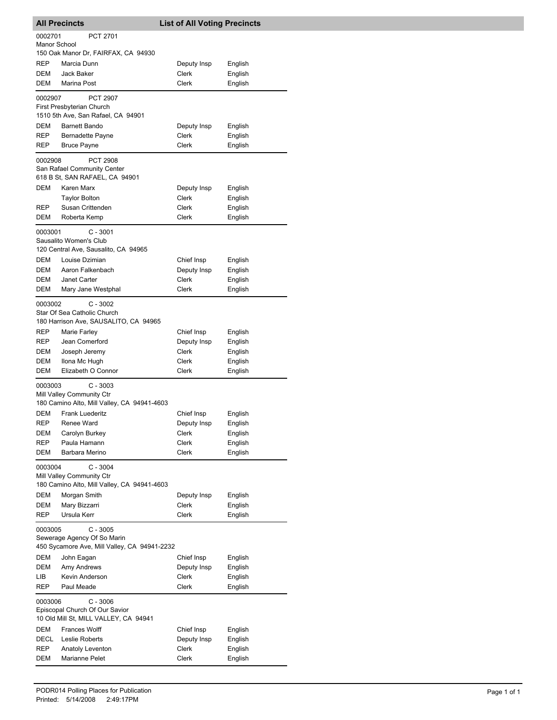|                                                                                                      | <b>All Precincts</b>                                                     | <b>List of All Voting Precincts</b> |                    |  |
|------------------------------------------------------------------------------------------------------|--------------------------------------------------------------------------|-------------------------------------|--------------------|--|
| 0002701                                                                                              | PCT 2701                                                                 |                                     |                    |  |
| Manor School                                                                                         | 150 Oak Manor Dr, FAIRFAX, CA 94930                                      |                                     |                    |  |
| REP                                                                                                  | Marcia Dunn                                                              | Deputy Insp                         | English            |  |
| DEM                                                                                                  | Jack Baker                                                               | Clerk                               | English            |  |
| DEM                                                                                                  | Marina Post                                                              | Clerk                               | English            |  |
| 0002907                                                                                              | <b>PCT 2907</b>                                                          |                                     |                    |  |
|                                                                                                      | First Presbyterian Church                                                |                                     |                    |  |
|                                                                                                      | 1510 5th Ave, San Rafael, CA 94901                                       |                                     |                    |  |
| <b>DEM</b><br>REP                                                                                    | <b>Barnett Bando</b>                                                     | Deputy Insp                         | English            |  |
| REP                                                                                                  | Bernadette Payne<br><b>Bruce Payne</b>                                   | Clerk<br><b>Clerk</b>               | English<br>English |  |
|                                                                                                      |                                                                          |                                     |                    |  |
| 0002908                                                                                              | <b>PCT 2908</b><br>San Rafael Community Center                           |                                     |                    |  |
|                                                                                                      | 618 B St, SAN RAFAEL, CA 94901                                           |                                     |                    |  |
| DEM                                                                                                  | Karen Marx                                                               | Deputy Insp                         | English            |  |
|                                                                                                      | Taylor Bolton                                                            | Clerk                               | English            |  |
| REP<br>DEM                                                                                           | Susan Crittenden<br>Roberta Kemp                                         | Clerk<br>Clerk                      | English<br>English |  |
|                                                                                                      |                                                                          |                                     |                    |  |
| 0003001                                                                                              | $C - 3001$<br>Sausalito Women's Club                                     |                                     |                    |  |
|                                                                                                      | 120 Central Ave, Sausalito, CA 94965                                     |                                     |                    |  |
| <b>DEM</b>                                                                                           | Louise Dzimian                                                           | Chief Insp                          | English            |  |
| DEM                                                                                                  | Aaron Falkenbach                                                         | Deputy Insp                         | English            |  |
| DEM                                                                                                  | Janet Carter                                                             | Clerk                               | English            |  |
| DEM                                                                                                  | Mary Jane Westphal                                                       | Clerk                               | English            |  |
| 0003002                                                                                              | $C - 3002$                                                               |                                     |                    |  |
|                                                                                                      | Star Of Sea Catholic Church<br>180 Harrison Ave, SAUSALITO, CA 94965     |                                     |                    |  |
| REP                                                                                                  | Marie Farley                                                             | Chief Insp                          | English            |  |
| REP                                                                                                  | Jean Comerford                                                           | Deputy Insp                         | English            |  |
| DEM                                                                                                  | Joseph Jeremy                                                            | Clerk                               | English            |  |
| DEM                                                                                                  | Ilona Mc Hugh                                                            | Clerk                               | English            |  |
| DEM                                                                                                  | Elizabeth O Connor                                                       | Clerk                               | English            |  |
| 0003003                                                                                              | $C - 3003$                                                               |                                     |                    |  |
|                                                                                                      | Mill Valley Community Ctr<br>180 Camino Alto, Mill Valley, CA 94941-4603 |                                     |                    |  |
| DEM                                                                                                  | <b>Frank Luederitz</b>                                                   | Chief Insp                          | English            |  |
| REP                                                                                                  | Renee Ward                                                               | Deputy Insp                         | English            |  |
| DEM                                                                                                  | Carolyn Burkey                                                           | Clerk                               | English            |  |
| REP                                                                                                  | Paula Hamann                                                             | Clerk                               | English            |  |
| DEM                                                                                                  | Barbara Merino                                                           | <b>Clerk</b>                        | English            |  |
| 0003004                                                                                              | $C - 3004$                                                               |                                     |                    |  |
|                                                                                                      | Mill Valley Community Ctr<br>180 Camino Alto, Mill Valley, CA 94941-4603 |                                     |                    |  |
| DEM                                                                                                  | Morgan Smith                                                             | Deputy Insp                         | English            |  |
| DEM                                                                                                  | Mary Bizzarri                                                            | Clerk                               | English            |  |
| REP                                                                                                  | Ursula Kerr                                                              | Clerk                               | English            |  |
| $C - 3005$<br>0003005<br>Sewerage Agency Of So Marin<br>450 Sycamore Ave, Mill Valley, CA 94941-2232 |                                                                          |                                     |                    |  |
| DEM                                                                                                  | John Eagan                                                               | Chief Insp                          | English            |  |
| DEM                                                                                                  | Amy Andrews                                                              | Deputy Insp                         | English            |  |
| LIB                                                                                                  | Kevin Anderson                                                           | Clerk                               | English            |  |
| REP                                                                                                  | Paul Meade                                                               | Clerk                               | English            |  |
| 0003006                                                                                              | $C - 3006$                                                               |                                     |                    |  |
|                                                                                                      | Episcopal Church Of Our Savior                                           |                                     |                    |  |
| DEM                                                                                                  | 10 Old Mill St, MILL VALLEY, CA 94941<br><b>Frances Wolff</b>            | Chief Insp                          | English            |  |
| DECL                                                                                                 | Leslie Roberts                                                           | Deputy Insp                         | English            |  |
| REP                                                                                                  | Anatoly Leventon                                                         | Clerk                               | English            |  |
| DEM                                                                                                  | Marianne Pelet                                                           | Clerk                               | English            |  |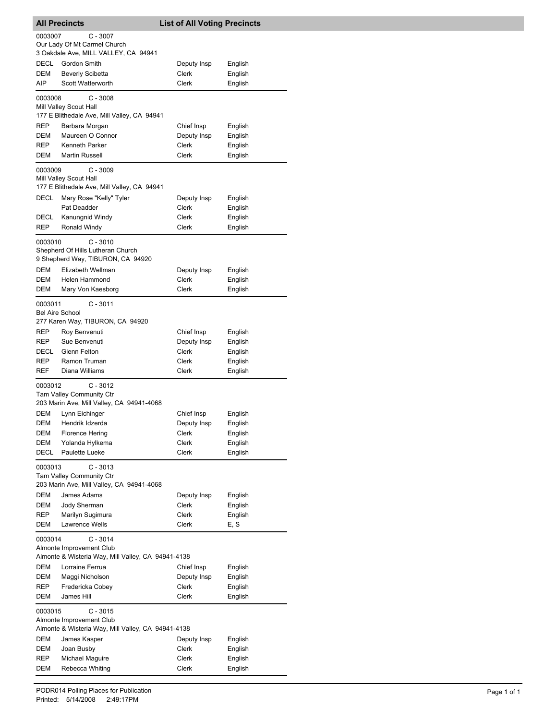| <b>All Precincts</b>   |                                                                                | <b>List of All Voting Precincts</b> |                    |
|------------------------|--------------------------------------------------------------------------------|-------------------------------------|--------------------|
| 0003007                | $C - 3007$                                                                     |                                     |                    |
|                        | Our Lady Of Mt Carmel Church                                                   |                                     |                    |
| DECL                   | 3 Oakdale Ave, MILL VALLEY, CA 94941<br>Gordon Smith                           | Deputy Insp                         |                    |
| DEM                    | <b>Beverly Scibetta</b>                                                        | <b>Clerk</b>                        | English<br>English |
| AIP                    | <b>Scott Watterworth</b>                                                       | Clerk                               | English            |
|                        |                                                                                |                                     |                    |
| 0003008                | $C - 3008$<br>Mill Valley Scout Hall                                           |                                     |                    |
|                        | 177 E Blithedale Ave, Mill Valley, CA 94941                                    |                                     |                    |
| REP                    | Barbara Morgan                                                                 | Chief Insp                          | English            |
| DEM                    | Maureen O Connor                                                               | Deputy Insp                         | English            |
| REP                    | Kenneth Parker                                                                 | Clerk                               | English            |
| DEM                    | <b>Martin Russell</b>                                                          | Clerk                               | English            |
| 0003009                | $C - 3009$                                                                     |                                     |                    |
|                        | Mill Valley Scout Hall                                                         |                                     |                    |
|                        | 177 E Blithedale Ave, Mill Valley, CA 94941                                    |                                     |                    |
| DECL                   | Mary Rose "Kelly" Tyler                                                        | Deputy Insp                         | English            |
|                        | Pat Deadder<br>Kanungnid Windy                                                 | Clerk<br>Clerk                      | English            |
| DECL<br>REP            | Ronald Windy                                                                   | Clerk                               | English<br>English |
|                        |                                                                                |                                     |                    |
| 0003010                | $C - 3010$                                                                     |                                     |                    |
|                        | Shepherd Of Hills Lutheran Church<br>9 Shepherd Way, TIBURON, CA 94920         |                                     |                    |
| DEM                    | Elizabeth Wellman                                                              | Deputy Insp                         | English            |
| DEM                    | Helen Hammond                                                                  | Clerk                               | English            |
| DEM                    | Mary Von Kaesborg                                                              | Clerk                               | English            |
| 0003011                | $C - 3011$                                                                     |                                     |                    |
| <b>Bel Aire School</b> |                                                                                |                                     |                    |
|                        | 277 Karen Way, TIBURON, CA 94920                                               |                                     |                    |
| REP                    | Roy Benvenuti                                                                  | Chief Insp                          | English            |
| REP                    | Sue Benvenuti                                                                  | Deputy Insp                         | English            |
| DECL                   | Glenn Felton                                                                   | Clerk                               | English            |
| REP                    | Ramon Truman                                                                   | Clerk                               | English            |
| <b>REF</b>             | Diana Williams                                                                 | Clerk                               | English            |
| 0003012                | $C - 3012$                                                                     |                                     |                    |
|                        | Tam Valley Community Ctr                                                       |                                     |                    |
|                        | 203 Marin Ave, Mill Valley, CA 94941-4068                                      |                                     |                    |
| DEM                    | Lynn Eichinger                                                                 | Chief Insp                          | English            |
| DEM                    | Hendrik Idzerda                                                                | Deputy Insp                         | English            |
| DEM                    | <b>Florence Hering</b>                                                         | Clerk                               | English            |
| DEM                    | Yolanda Hylkema                                                                | Clerk                               | English            |
| DECL                   | Paulette Lueke                                                                 | Clerk                               | English            |
| 0003013                | $C - 3013$                                                                     |                                     |                    |
|                        | Tam Valley Community Ctr                                                       |                                     |                    |
|                        | 203 Marin Ave, Mill Valley, CA 94941-4068                                      |                                     |                    |
| DEM                    | James Adams                                                                    | Deputy Insp                         | English            |
| DEM                    | Jody Sherman                                                                   | Clerk                               | English            |
| REP<br>DEM             | Marilyn Sugimura<br>Lawrence Wells                                             | Clerk<br>Clerk                      | English<br>E, S    |
|                        |                                                                                |                                     |                    |
| 0003014                | $C - 3014$                                                                     |                                     |                    |
|                        | Almonte Improvement Club<br>Almonte & Wisteria Way, Mill Valley, CA 94941-4138 |                                     |                    |
| DEM                    | Lorraine Ferrua                                                                |                                     |                    |
| DEM                    | Maggi Nicholson                                                                | Chief Insp<br>Deputy Insp           | English<br>English |
| REP                    | Fredericka Cobey                                                               | Clerk                               | English            |
| DEM                    | James Hill                                                                     | Clerk                               | English            |
| 0003015                | $C - 3015$                                                                     |                                     |                    |
|                        | Almonte Improvement Club                                                       |                                     |                    |
|                        | Almonte & Wisteria Way, Mill Valley, CA 94941-4138                             |                                     |                    |
| DEM                    | James Kasper                                                                   | Deputy Insp                         | English            |
| DEM                    | Joan Busby                                                                     | Clerk                               | English            |
| REP                    | Michael Maguire                                                                | Clerk                               | English            |
| DEM                    | Rebecca Whiting                                                                | Clerk                               | English            |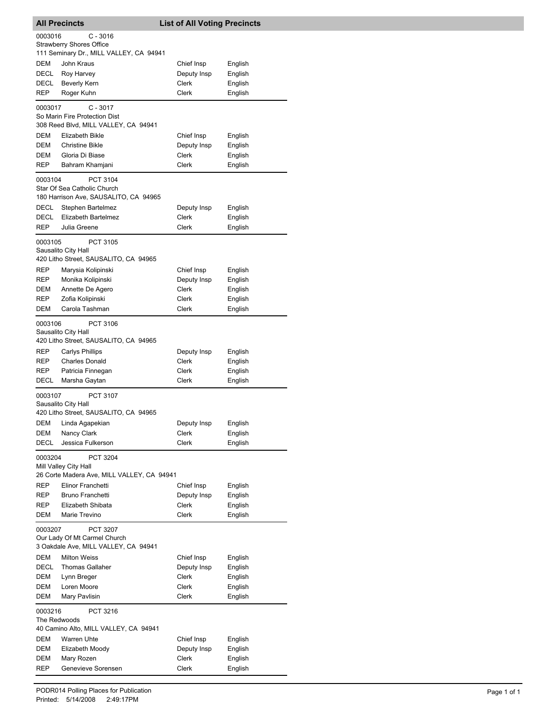|                         | <b>All Precincts</b>                                                             | <b>List of All Voting Precincts</b> |         |
|-------------------------|----------------------------------------------------------------------------------|-------------------------------------|---------|
| 0003016                 | $C - 3016$                                                                       |                                     |         |
|                         | <b>Strawberry Shores Office</b>                                                  |                                     |         |
|                         | 111 Seminary Dr., MILL VALLEY, CA 94941                                          |                                     |         |
| DEM                     | John Kraus                                                                       | Chief Insp                          | English |
| DECL                    | Roy Harvey                                                                       | Deputy Insp                         | English |
| DECL                    | <b>Beverly Kern</b>                                                              | Clerk                               | English |
| REP                     | Roger Kuhn                                                                       | <b>Clerk</b>                        | English |
| 0003017                 | $C - 3017$                                                                       |                                     |         |
|                         | So Marin Fire Protection Dist                                                    |                                     |         |
|                         | 308 Reed Blvd, MILL VALLEY, CA 94941                                             |                                     |         |
| DEM                     | Elizabeth Bikle                                                                  | Chief Insp                          | English |
| DEM                     | <b>Christine Bikle</b>                                                           | Deputy Insp                         | English |
| DEM<br>REP              | Gloria Di Biase                                                                  | Clerk<br><b>Clerk</b>               | English |
|                         | Bahram Khamjani                                                                  |                                     | English |
| 0003104                 | PCT 3104<br>Star Of Sea Catholic Church<br>180 Harrison Ave, SAUSALITO, CA 94965 |                                     |         |
| DECL                    | Stephen Bartelmez                                                                | Deputy Insp                         | English |
| DECL                    | Elizabeth Bartelmez                                                              | Clerk                               | English |
| <b>REP</b>              | Julia Greene                                                                     | Clerk                               | English |
| 0003105                 | PCT 3105<br>Sausalito City Hall<br>420 Litho Street, SAUSALITO, CA 94965         |                                     |         |
| REP                     | Marysia Kolipinski                                                               | Chief Insp                          | English |
| REP                     | Monika Kolipinski                                                                | Deputy Insp                         | English |
| DEM                     | Annette De Agero                                                                 | Clerk                               | English |
| <b>REP</b>              | Zofia Kolipinski                                                                 | Clerk                               | English |
| DEM                     | Carola Tashman                                                                   | Clerk                               | English |
| 0003106                 | PCT 3106<br>Sausalito City Hall<br>420 Litho Street, SAUSALITO, CA 94965         |                                     |         |
| REP                     | Carlys Phillips                                                                  | Deputy Insp                         | English |
| REP                     | <b>Charles Donald</b>                                                            | Clerk                               | English |
| REP                     | Patricia Finnegan                                                                | Clerk                               | English |
| <b>DECL</b>             | Marsha Gaytan                                                                    | Clerk                               | English |
| 0003107                 | <b>PCT 3107</b><br>Sausalito City Hall<br>420 Litho Street, SAUSALITO, CA 94965  |                                     |         |
| DEM                     | Linda Agapekian                                                                  | Deputy Insp                         | English |
| DEM                     | Nancy Clark                                                                      | Clerk                               | English |
| DECL                    | Jessica Fulkerson                                                                | Clerk                               | English |
| 0003204                 | PCT 3204<br>Mill Valley City Hall<br>26 Corte Madera Ave, MILL VALLEY, CA 94941  |                                     |         |
| REP                     | Elinor Franchetti                                                                | Chief Insp                          | English |
| REP                     | Bruno Franchetti                                                                 | Deputy Insp                         | English |
| REP                     | Elizabeth Shibata                                                                | Clerk                               | English |
| DEM                     | Marie Trevino                                                                    | Clerk                               | English |
| 0003207                 | PCT 3207<br>Our Lady Of Mt Carmel Church                                         |                                     |         |
| DEM                     | 3 Oakdale Ave, MILL VALLEY, CA 94941<br><b>Milton Weiss</b>                      | Chief Insp                          | English |
| DECL                    | <b>Thomas Gallaher</b>                                                           | Deputy Insp                         | English |
| DEM                     | Lynn Breger                                                                      | Clerk                               | English |
| DEM                     | Loren Moore                                                                      | <b>Clerk</b>                        | English |
| DEM                     | Mary Pavlisin                                                                    | Clerk                               | English |
| 0003216<br>The Redwoods | PCT 3216                                                                         |                                     |         |
|                         | 40 Camino Alto, MILL VALLEY, CA 94941                                            |                                     |         |
| DEM                     | <b>Warren Uhte</b>                                                               | Chief Insp                          | English |
| DEM                     | Elizabeth Moody                                                                  | Deputy Insp                         | English |
| DEM                     | Mary Rozen                                                                       | Clerk                               | English |
| REP                     | Genevieve Sorensen                                                               | Clerk                               | English |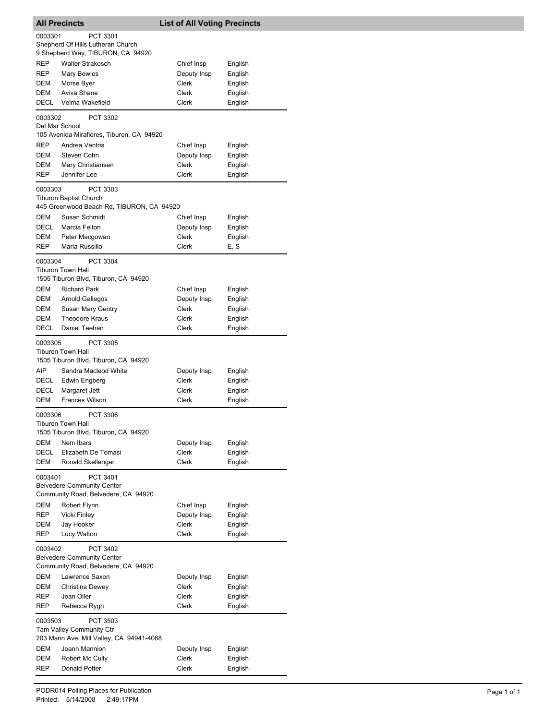|                | <b>All Precincts</b>                                                  | <b>List of All Voting Precincts</b> |                    |
|----------------|-----------------------------------------------------------------------|-------------------------------------|--------------------|
| 0003301        | PCT 3301                                                              |                                     |                    |
|                | Shepherd Of Hills Lutheran Church                                     |                                     |                    |
| REP            | 9 Shepherd Way, TIBURON, CA 94920<br><b>Walter Strakosch</b>          |                                     |                    |
| REP            | <b>Mary Bowles</b>                                                    | Chief Insp<br>Deputy Insp           | English<br>English |
| DEM            | Morse Byer                                                            | Clerk                               | English            |
| DEM            | Aviva Shane                                                           | Clerk                               | English            |
| DECL           | Velma Wakefield                                                       | Clerk                               | English            |
| 0003302        | PCT 3302                                                              |                                     |                    |
| Del Mar School |                                                                       |                                     |                    |
|                | 105 Avenida Miraflores, Tiburon, CA 94920                             |                                     |                    |
| REP            | Andrea Ventris                                                        | Chief Insp                          | English            |
| DEM<br>DEM     | Steven Cohn<br>Mary Christiansen                                      | Deputy Insp<br>Clerk                | English<br>English |
| REP            | Jennifer Lee                                                          | Clerk                               | English            |
|                |                                                                       |                                     |                    |
| 0003303        | PCT 3303<br><b>Tiburon Baptist Church</b>                             |                                     |                    |
|                | 445 Greenwood Beach Rd, TIBURON, CA 94920                             |                                     |                    |
| DEM            | Susan Schmidt                                                         | Chief Insp                          | English            |
| DECL           | Marcia Felton                                                         | Deputy Insp                         | English            |
| DEM            | Peter Macgowan                                                        | Clerk                               | English            |
| REP            | Maria Russillo                                                        | Clerk                               | E, S               |
| 0003304        | PCT 3304                                                              |                                     |                    |
|                | <b>Tiburon Town Hall</b>                                              |                                     |                    |
| DEM            | 1505 Tiburon Blvd, Tiburon, CA 94920<br><b>Richard Park</b>           |                                     |                    |
| DEM            | <b>Arnold Gallegos</b>                                                | Chief Insp<br>Deputy Insp           | English<br>English |
| DEM            | Susan Mary Gentry                                                     | Clerk                               | English            |
| DEM            | <b>Theodore Kraus</b>                                                 | Clerk                               | English            |
| DECL           | Daniel Teehan                                                         | Clerk                               | English            |
| 0003305        | PCT 3305                                                              |                                     |                    |
|                | <b>Tiburon Town Hall</b>                                              |                                     |                    |
|                | 1505 Tiburon Blvd, Tiburon, CA 94920                                  |                                     |                    |
| <b>AIP</b>     | Sandra Macleod White                                                  | Deputy Insp                         | English            |
| DECL<br>DECL   | Edwin Engberg                                                         | Clerk<br>Clerk                      | English<br>English |
| DEM            | Margaret Jett<br>Frances Wilson                                       | Clerk                               | English            |
|                |                                                                       |                                     |                    |
| 0003306        | PCT 3306<br>Tiburon Town Hall                                         |                                     |                    |
|                | 1505 Tiburon Blvd, Tiburon, CA 94920                                  |                                     |                    |
| DEM            | Nem Ibars                                                             | Deputy Insp                         | English            |
| DECL           | Elizabeth De Tomasi                                                   | Clerk                               | English            |
| <b>DEM</b>     | Ronald Skellenger                                                     | Clerk                               | English            |
| 0003401        | PCT 3401                                                              |                                     |                    |
|                | <b>Belvedere Community Center</b>                                     |                                     |                    |
|                | Community Road, Belvedere, CA 94920                                   |                                     |                    |
| DEM<br>REP     | Robert Flynn<br>Vicki Finley                                          | Chief Insp<br>Deputy Insp           | English<br>English |
| DEM            | Jay Hooker                                                            | Clerk                               | English            |
| REP            | Lucy Walton                                                           | <b>Clerk</b>                        | English            |
| 0003402        | PCT 3402                                                              |                                     |                    |
|                | <b>Belvedere Community Center</b>                                     |                                     |                    |
|                | Community Road, Belvedere, CA 94920                                   |                                     |                    |
| DEM            | Lawrence Saxon                                                        | Deputy Insp                         | English            |
| DEM            | Christina Dewey                                                       | Clerk                               | English            |
| REP            | Jean Oller                                                            | Clerk                               | English            |
| REP            | Rebecca Rygh                                                          | Clerk                               | English            |
| 0003503        | PCT 3503                                                              |                                     |                    |
|                | Tam Valley Community Ctr<br>203 Marin Ave, Mill Valley, CA 94941-4068 |                                     |                    |
| DEM            | Joann Mannion                                                         | Deputy Insp                         | English            |
| DEM            | Robert Mc Cully                                                       | Clerk                               | English            |
| REP            | Donald Potter                                                         | Clerk                               | English            |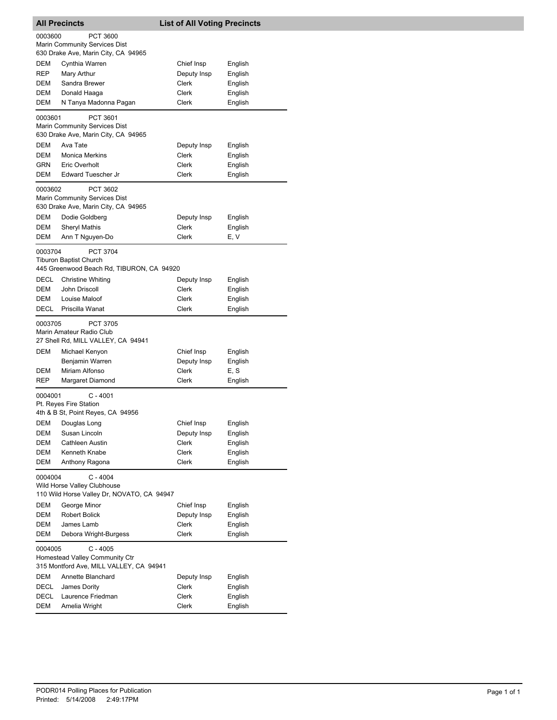| <b>All Precincts</b> |                                                                                                | <b>List of All Voting Precincts</b> |                    |
|----------------------|------------------------------------------------------------------------------------------------|-------------------------------------|--------------------|
| 0003600              | <b>PCT 3600</b><br><b>Marin Community Services Dist</b><br>630 Drake Ave, Marin City, CA 94965 |                                     |                    |
| DEM                  | Cynthia Warren                                                                                 | Chief Insp                          | English            |
| REP                  | Mary Arthur                                                                                    | Deputy Insp                         | English            |
| DEM                  | Sandra Brewer                                                                                  | Clerk                               | English            |
| DEM                  | Donald Haaga                                                                                   | Clerk                               | English            |
| DEM                  | N Tanya Madonna Pagan                                                                          | Clerk                               | English            |
| 0003601              | PCT 3601<br>Marin Community Services Dist<br>630 Drake Ave, Marin City, CA 94965               |                                     |                    |
| DEM                  | Ava Tate                                                                                       | Deputy Insp                         | English            |
| DEM                  | <b>Monica Merkins</b>                                                                          | Clerk                               | English            |
| <b>GRN</b>           | Eric Overholt                                                                                  | Clerk                               | English            |
| DEM                  | Edward Tuescher Jr                                                                             | Clerk                               | English            |
| 0003602              | PCT 3602<br>Marin Community Services Dist<br>630 Drake Ave, Marin City, CA 94965               |                                     |                    |
| DEM                  | Dodie Goldberg                                                                                 | Deputy Insp                         | English            |
| DEM                  | <b>Sheryl Mathis</b>                                                                           | Clerk                               | English            |
| <b>DEM</b>           | Ann T Nguyen-Do                                                                                | Clerk                               | E, V               |
| 0003704              | <b>PCT 3704</b><br><b>Tiburon Baptist Church</b><br>445 Greenwood Beach Rd, TIBURON, CA 94920  |                                     |                    |
| DECL                 | <b>Christine Whiting</b>                                                                       | Deputy Insp                         | English            |
| DEM                  | John Driscoll                                                                                  | Clerk                               | English            |
| DEM                  | Louise Maloof                                                                                  | Clerk                               | English            |
| DECL                 | Priscilla Wanat                                                                                | <b>Clerk</b>                        | English            |
| 0003705              | <b>PCT 3705</b><br>Marin Amateur Radio Club<br>27 Shell Rd, MILL VALLEY, CA 94941              |                                     |                    |
| DEM                  | Michael Kenyon                                                                                 | Chief Insp                          | English            |
|                      | Benjamin Warren                                                                                | Deputy Insp                         | English            |
| DEM                  | Miriam Alfonso                                                                                 | Clerk                               | E, S               |
| REP                  | Margaret Diamond                                                                               | <b>Clerk</b>                        | English            |
| 0004001              | $C - 4001$<br>Pt. Reyes Fire Station<br>4th & B St, Point Reyes, CA 94956                      |                                     |                    |
|                      | DEM Douglas Long                                                                               | Chief Insp                          | English            |
| DEM                  | Susan Lincoln                                                                                  | Deputy Insp                         | English            |
| DEM                  | Cathleen Austin                                                                                | Clerk                               | English            |
| DEM                  | Kenneth Knabe                                                                                  | Clerk                               | English            |
| DEM                  | Anthony Ragona                                                                                 | <b>Clerk</b>                        | English            |
| 0004004              | $C - 4004$<br>Wild Horse Valley Clubhouse<br>110 Wild Horse Valley Dr, NOVATO, CA 94947        |                                     |                    |
|                      |                                                                                                |                                     |                    |
| DEM                  | George Minor                                                                                   | Chief Insp                          | English            |
| <b>DEM</b>           | <b>Robert Bolick</b>                                                                           | Deputy Insp                         | English            |
| DEM<br>DEM           | James Lamb<br>Debora Wright-Burgess                                                            | Clerk<br>Clerk                      | English<br>English |
|                      |                                                                                                |                                     |                    |
| 0004005              | $C - 4005$<br>Homestead Valley Community Ctr<br>315 Montford Ave, MILL VALLEY, CA 94941        |                                     |                    |
| DEM                  | Annette Blanchard                                                                              | Deputy Insp                         | English            |
| DECL                 | James Dority                                                                                   | Clerk                               | English            |
| DECL                 | Laurence Friedman                                                                              | Clerk                               | English            |
| DEM                  | Amelia Wright                                                                                  | Clerk                               | English            |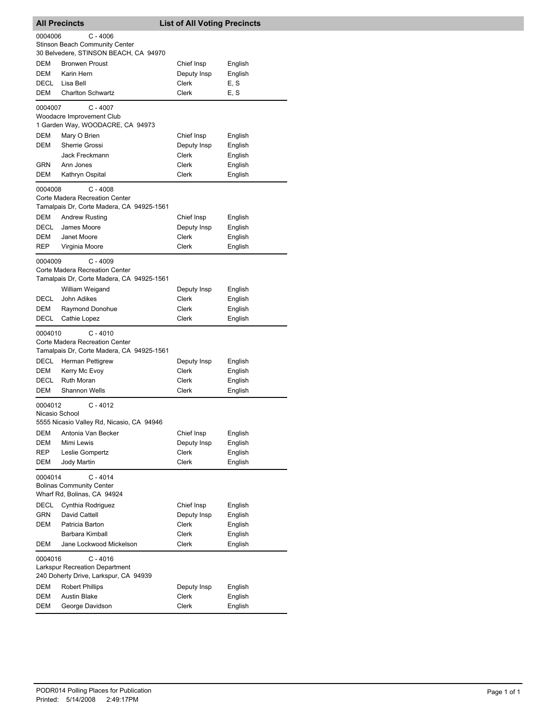|                           | <b>All Precincts</b>                         | <b>List of All Voting Precincts</b> |                    |
|---------------------------|----------------------------------------------|-------------------------------------|--------------------|
| 0004006                   | $C - 4006$                                   |                                     |                    |
|                           | <b>Stinson Beach Community Center</b>        |                                     |                    |
|                           | 30 Belvedere, STINSON BEACH, CA 94970        |                                     |                    |
| DEM                       | <b>Bronwen Proust</b>                        | Chief Insp                          | English            |
| DEM<br>DECL               | Karin Hern<br>Lisa Bell                      | Deputy Insp<br>Clerk                | English<br>E, S    |
| DEM                       | <b>Charlton Schwartz</b>                     | <b>Clerk</b>                        | E, S               |
|                           |                                              |                                     |                    |
| 0004007                   | $C - 4007$<br>Woodacre Improvement Club      |                                     |                    |
|                           | 1 Garden Way, WOODACRE, CA 94973             |                                     |                    |
| DEM                       | Mary O Brien                                 | Chief Insp                          | English            |
| DEM                       | Sherrie Grossi                               | Deputy Insp                         | English            |
|                           | Jack Freckmann                               | Clerk                               | English            |
| GRN                       | Ann Jones                                    | Clerk                               | English            |
| DEM                       | Kathryn Ospital                              | Clerk                               | English            |
| 0004008                   | $C - 4008$                                   |                                     |                    |
|                           | Corte Madera Recreation Center               |                                     |                    |
|                           | Tamalpais Dr, Corte Madera, CA 94925-1561    |                                     |                    |
| DEM                       | <b>Andrew Rusting</b>                        | Chief Insp                          | English            |
| DECL<br>DEM               | James Moore<br>Janet Moore                   | Deputy Insp<br>Clerk                | English<br>English |
| REP                       | Virginia Moore                               | Clerk                               | English            |
|                           |                                              |                                     |                    |
| 0004009                   | $C - 4009$<br>Corte Madera Recreation Center |                                     |                    |
|                           | Tamalpais Dr, Corte Madera, CA 94925-1561    |                                     |                    |
|                           | William Weigand                              | Deputy Insp                         | English            |
| <b>DECL</b>               | John Adikes                                  | Clerk                               | English            |
| DEM                       | Raymond Donohue                              | Clerk                               | English            |
| DECL                      | Cathie Lopez                                 | Clerk                               | English            |
| 0004010                   | $C - 4010$                                   |                                     |                    |
|                           | Corte Madera Recreation Center               |                                     |                    |
|                           | Tamalpais Dr, Corte Madera, CA 94925-1561    |                                     |                    |
| DECL                      | Herman Pettigrew                             | Deputy Insp                         | English            |
| DEM                       | Kerry Mc Evoy                                | Clerk                               | English            |
| DECL<br><b>DEM</b>        | Ruth Moran<br><b>Shannon Wells</b>           | Clerk<br>Clerk                      | English<br>English |
|                           |                                              |                                     |                    |
| 0004012<br>Nicasio School | $C - 4012$                                   |                                     |                    |
|                           | 5555 Nicasio Valley Rd, Nicasio, CA 94946    |                                     |                    |
| DEM                       | Antonia Van Becker                           | Chief Insp                          | English            |
| <b>DEM</b>                | Mimi Lewis                                   | Deputy Insp                         | English            |
| REP                       | Leslie Gompertz                              | Clerk                               | English            |
| DEM                       | Jody Martin                                  | Clerk                               | English            |
| 0004014                   | $C - 4014$                                   |                                     |                    |
|                           | <b>Bolinas Community Center</b>              |                                     |                    |
|                           | Wharf Rd, Bolinas, CA 94924                  |                                     |                    |
| DECL                      | Cynthia Rodriguez                            | Chief Insp                          | English            |
| <b>GRN</b>                | David Cattell                                | Deputy Insp                         | English            |
| DEM                       | Patricia Barton<br>Barbara Kimball           | Clerk<br>Clerk                      | English<br>English |
| DEM                       | Jane Lockwood Mickelson                      | Clerk                               | English            |
|                           |                                              |                                     |                    |
| 0004016                   | $C - 4016$<br>Larkspur Recreation Department |                                     |                    |
|                           | 240 Doherty Drive, Larkspur, CA 94939        |                                     |                    |
| DEM                       | <b>Robert Phillips</b>                       | Deputy Insp                         | English            |
| DEM                       | <b>Austin Blake</b>                          | Clerk                               | English            |
| DEM                       | George Davidson                              | Clerk                               | English            |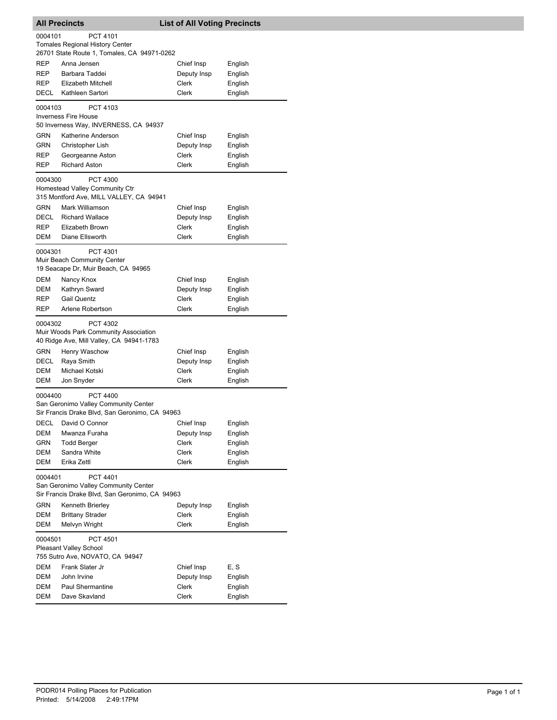|             | <b>All Precincts</b>                                    | <b>List of All Voting Precincts</b> |         |
|-------------|---------------------------------------------------------|-------------------------------------|---------|
| 0004101     | PCT 4101                                                |                                     |         |
|             | <b>Tomales Regional History Center</b>                  |                                     |         |
|             | 26701 State Route 1, Tomales, CA 94971-0262             |                                     |         |
| REP         | Anna Jensen                                             | Chief Insp                          | English |
| REP         | Barbara Taddei                                          | Deputy Insp                         | English |
| REP         | <b>Elizabeth Mitchell</b>                               | Clerk                               | English |
| DECL        | Kathleen Sartori                                        | <b>Clerk</b>                        | English |
| 0004103     | PCT 4103                                                |                                     |         |
|             | <b>Inverness Fire House</b>                             |                                     |         |
|             | 50 Inverness Way, INVERNESS, CA 94937                   |                                     |         |
| GRN         | Katherine Anderson                                      | Chief Insp                          | English |
| <b>GRN</b>  | Christopher Lish                                        | Deputy Insp                         | English |
| REP         | Georgeanne Aston                                        | Clerk                               | English |
| REP         | <b>Richard Aston</b>                                    | Clerk                               | English |
|             |                                                         |                                     |         |
| 0004300     | PCT 4300<br>Homestead Valley Community Ctr              |                                     |         |
|             | 315 Montford Ave, MILL VALLEY, CA 94941                 |                                     |         |
| <b>GRN</b>  | Mark Williamson                                         | Chief Insp                          | English |
| <b>DECL</b> | <b>Richard Wallace</b>                                  |                                     | English |
| REP         | Elizabeth Brown                                         | Deputy Insp<br>Clerk                | English |
|             |                                                         |                                     |         |
| DEM         | Diane Ellsworth                                         | Clerk                               | English |
| 0004301     | PCT 4301                                                |                                     |         |
|             | Muir Beach Community Center                             |                                     |         |
|             | 19 Seacape Dr, Muir Beach, CA 94965                     |                                     |         |
| DEM         | Nancy Knox                                              | Chief Insp                          | English |
| DEM         | Kathryn Sward                                           | Deputy Insp                         | English |
| REP         | <b>Gail Quentz</b>                                      | <b>Clerk</b>                        | English |
| <b>REP</b>  | Arlene Robertson                                        | Clerk                               | English |
| 0004302     | PCT 4302                                                |                                     |         |
|             | Muir Woods Park Community Association                   |                                     |         |
|             | 40 Ridge Ave, Mill Valley, CA 94941-1783                |                                     |         |
| <b>GRN</b>  | Henry Waschow                                           | Chief Insp                          | English |
| DECL        | Raya Smith                                              | Deputy Insp                         | English |
| DEM         | Michael Kotski                                          | Clerk                               | English |
| DEM         | Jon Snyder                                              | Clerk                               | English |
|             |                                                         |                                     |         |
| 0004400     | <b>PCT 4400</b><br>San Geronimo Valley Community Center |                                     |         |
|             | Sir Francis Drake Blvd, San Geronimo, CA 94963          |                                     |         |
|             |                                                         |                                     |         |
| DECL        | David O Connor                                          | Chief Insp                          | English |
| DEM         | Mwanza Furaha                                           | Deputy Insp                         | English |
| GRN         | <b>Todd Berger</b>                                      | Clerk                               | English |
| DEM         | Sandra White                                            | Clerk                               | English |
| DEM         | Erika Zettl                                             | Clerk                               | English |
| 0004401     | PCT 4401                                                |                                     |         |
|             | San Geronimo Valley Community Center                    |                                     |         |
|             | Sir Francis Drake Blvd, San Geronimo, CA 94963          |                                     |         |
| GRN         | Kenneth Brierley                                        | Deputy Insp                         | English |
| DEM         | <b>Brittany Strader</b>                                 | <b>Clerk</b>                        | English |
| DEM         | Melvyn Wright                                           | Clerk                               | English |
| 0004501     | PCT 4501                                                |                                     |         |
|             | <b>Pleasant Valley School</b>                           |                                     |         |
|             | 755 Sutro Ave, NOVATO, CA 94947                         |                                     |         |
| DEM         | Frank Slater Jr                                         | Chief Insp                          | E, S    |
| DEM         | John Irvine                                             | Deputy Insp                         | English |
| DEM         | Paul Shermantine                                        | Clerk                               | English |
| DEM         | Dave Skavland                                           | Clerk                               | English |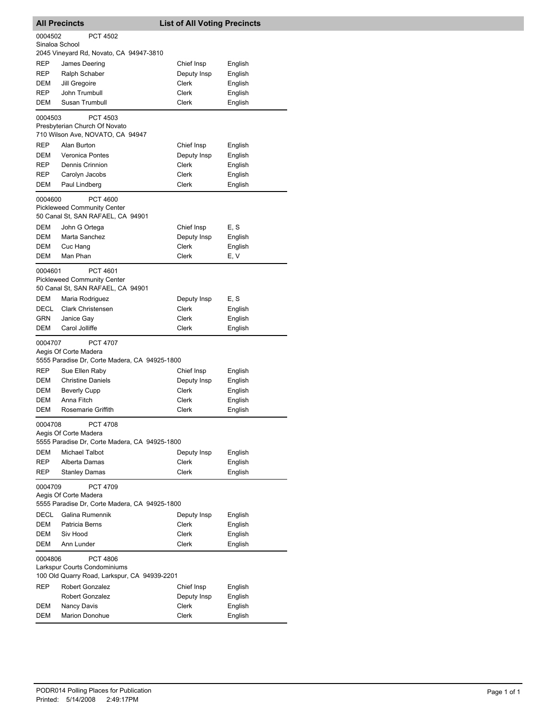|                           | <b>All Precincts</b>                                                                                 | <b>List of All Voting Precincts</b> |         |
|---------------------------|------------------------------------------------------------------------------------------------------|-------------------------------------|---------|
| 0004502<br>Sinaloa School | <b>PCT 4502</b>                                                                                      |                                     |         |
|                           | 2045 Vineyard Rd, Novato, CA 94947-3810                                                              |                                     |         |
| REP                       | James Deering                                                                                        | Chief Insp                          | English |
| REP                       | Ralph Schaber                                                                                        | Deputy Insp                         | English |
| DEM                       | Jill Gregoire                                                                                        | Clerk                               | English |
| REP                       | John Trumbull                                                                                        | Clerk                               | English |
| DEM                       | Susan Trumbull                                                                                       | Clerk                               | English |
| 0004503                   | <b>PCT 4503</b><br>Presbyterian Church Of Novato<br>710 Wilson Ave, NOVATO, CA 94947                 |                                     |         |
| REP                       | Alan Burton                                                                                          | Chief Insp                          | English |
| DEM                       | Veronica Pontes                                                                                      | Deputy Insp                         | English |
| REP                       | Dennis Crinnion                                                                                      | Clerk                               | English |
| REP                       | Carolyn Jacobs                                                                                       | Clerk                               | English |
| DEM                       | Paul Lindberg                                                                                        | Clerk                               | English |
| 0004600<br>DEM            | PCT 4600<br><b>Pickleweed Community Center</b><br>50 Canal St, SAN RAFAEL, CA 94901<br>John G Ortega | Chief Insp                          | E, S    |
| DEM                       | Marta Sanchez                                                                                        | Deputy Insp                         | English |
| DEM                       | Cuc Hang                                                                                             | Clerk                               | English |
| DEM                       | Man Phan                                                                                             | <b>Clerk</b>                        | E, V    |
| 0004601                   | PCT 4601<br><b>Pickleweed Community Center</b><br>50 Canal St, SAN RAFAEL, CA 94901                  |                                     |         |
| DEM                       | Maria Rodriguez                                                                                      | Deputy Insp                         | E, S    |
| DECL                      | Clark Christensen                                                                                    | Clerk                               | English |
| GRN                       | Janice Gay                                                                                           | Clerk                               | English |
| DEM                       | Carol Jolliffe                                                                                       | Clerk                               | English |
| 0004707                   | <b>PCT 4707</b><br>Aegis Of Corte Madera<br>5555 Paradise Dr, Corte Madera, CA 94925-1800            |                                     |         |
| REP                       | Sue Ellen Raby                                                                                       | Chief Insp                          | English |
| DEM                       | <b>Christine Daniels</b>                                                                             | Deputy Insp                         | English |
| DEM                       | <b>Beverly Cupp</b>                                                                                  | Clerk                               | English |
| <b>DEM</b>                | Anna Fitch                                                                                           | Clerk                               | English |
| DEM                       | Rosemarie Griffith                                                                                   | Clerk                               | English |
| 0004708                   | <b>PCT 4708</b><br>Aegis Of Corte Madera<br>5555 Paradise Dr, Corte Madera, CA 94925-1800            |                                     |         |
| <b>DEM</b>                | <b>Michael Talbot</b>                                                                                | Deputy Insp                         | English |
| REP                       | Alberta Damas                                                                                        | <b>Clerk</b>                        | English |
| REP<br>0004709            | <b>Stanley Damas</b><br><b>PCT 4709</b>                                                              | Clerk                               | English |
|                           | Aegis Of Corte Madera<br>5555 Paradise Dr, Corte Madera, CA 94925-1800                               |                                     |         |
| DECL                      | Galina Rumennik                                                                                      | Deputy Insp                         | English |
| DEM                       | Patricia Berns                                                                                       | <b>Clerk</b>                        | English |
| DEM                       | Siv Hood                                                                                             | Clerk                               | English |
| DEM                       | Ann Lunder                                                                                           | Clerk                               | English |
| 0004806                   | <b>PCT 4806</b><br>Larkspur Courts Condominiums                                                      |                                     |         |
|                           | 100 Old Quarry Road, Larkspur, CA 94939-2201                                                         |                                     |         |
| REP                       | Robert Gonzalez                                                                                      | Chief Insp                          | English |
|                           | Robert Gonzalez                                                                                      | Deputy Insp                         | English |
| DEM                       | Nancy Davis                                                                                          | Clerk                               | English |
| <b>DEM</b>                | <b>Marion Donohue</b>                                                                                | Clerk                               | English |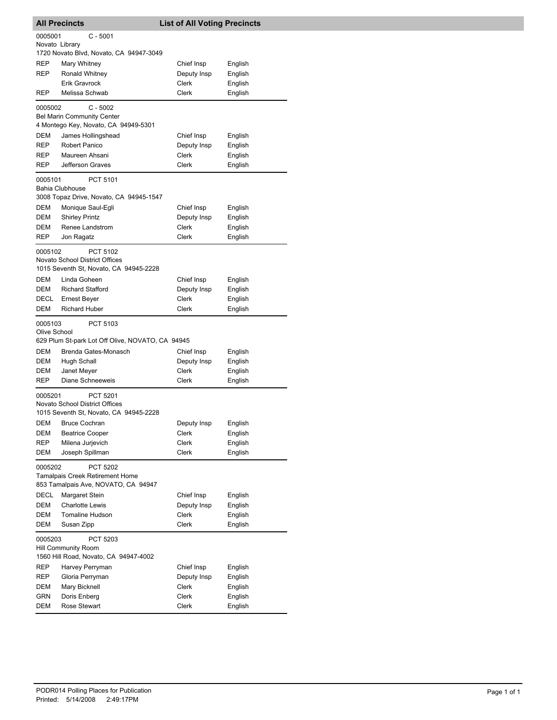|                | <b>All Precincts</b>                                                | <b>List of All Voting Precincts</b> |                    |
|----------------|---------------------------------------------------------------------|-------------------------------------|--------------------|
| 0005001        | $C - 5001$                                                          |                                     |                    |
| Novato Library |                                                                     |                                     |                    |
|                | 1720 Novato Blvd, Novato, CA 94947-3049                             |                                     |                    |
| REP<br>REP     | Mary Whitney<br>Ronald Whitney                                      | Chief Insp                          | English<br>English |
|                | <b>Erik Gravrock</b>                                                | Deputy Insp<br><b>Clerk</b>         | English            |
| REP            | Melissa Schwab                                                      | Clerk                               | English            |
|                |                                                                     |                                     |                    |
| 0005002        | $C - 5002$<br><b>Bel Marin Community Center</b>                     |                                     |                    |
|                | 4 Montego Key, Novato, CA 94949-5301                                |                                     |                    |
| DEM            | James Hollingshead                                                  | Chief Insp                          | English            |
| REP            | Robert Panico                                                       | Deputy Insp                         | English            |
| REP            | Maureen Ahsani                                                      | Clerk                               | English            |
| REP            | Jefferson Graves                                                    | Clerk                               | English            |
| 0005101        | PCT 5101                                                            |                                     |                    |
|                | Bahia Clubhouse<br>3008 Topaz Drive, Novato, CA 94945-1547          |                                     |                    |
| DEM            | Monique Saul-Egli                                                   | Chief Insp                          | English            |
| DEM            | <b>Shirley Printz</b>                                               | Deputy Insp                         | English            |
| DEM            | Renee Landstrom                                                     | <b>Clerk</b>                        | English            |
| REP            | Jon Ragatz                                                          | Clerk                               | English            |
| 0005102        | PCT 5102                                                            |                                     |                    |
|                | Novato School District Offices                                      |                                     |                    |
|                | 1015 Seventh St, Novato, CA 94945-2228                              |                                     |                    |
| DEM            | Linda Goheen                                                        | Chief Insp                          | English            |
| <b>DEM</b>     | <b>Richard Stafford</b>                                             | Deputy Insp                         | English            |
| DECL           | Ernest Beyer                                                        | Clerk                               | English            |
| DEM            | <b>Richard Huber</b>                                                | Clerk                               | English            |
| 0005103        | PCT 5103                                                            |                                     |                    |
| Olive School   |                                                                     |                                     |                    |
|                |                                                                     |                                     |                    |
|                | 629 Plum St-park Lot Off Olive, NOVATO, CA 94945                    |                                     |                    |
| DEM            | Brenda Gates-Monasch                                                | Chief Insp                          | English            |
| DEM<br>DEM     | Hugh Schall                                                         | Deputy Insp<br><b>Clerk</b>         | English            |
| REP            | Janet Meyer<br>Diane Schneeweis                                     | Clerk                               | English<br>English |
|                |                                                                     |                                     |                    |
| 0005201        | <b>PCT 5201</b><br>Novato School District Offices                   |                                     |                    |
|                | 1015 Seventh St, Novato, CA 94945-2228                              |                                     |                    |
| DEM            | <b>Bruce Cochran</b>                                                | Deputy Insp                         | English            |
| DEM            | <b>Beatrice Cooper</b>                                              | Clerk                               | English            |
| REP            | Milena Jurjevich                                                    | Clerk                               | English            |
| DEM            | Joseph Spillman                                                     | Clerk                               | English            |
| 0005202        | PCT 5202                                                            |                                     |                    |
|                | Tamalpais Creek Retirement Home                                     |                                     |                    |
|                | 853 Tamalpais Ave, NOVATO, CA 94947                                 |                                     |                    |
| DECL           | Margaret Stein                                                      | Chief Insp                          | English            |
| DEM            | <b>Charlotte Lewis</b>                                              | Deputy Insp                         | English            |
| DEM            | <b>Tomaline Hudson</b>                                              | Clerk                               | English            |
| DEM            | Susan Zipp                                                          | Clerk                               | English            |
| 0005203        | PCT 5203                                                            |                                     |                    |
|                | <b>Hill Community Room</b><br>1560 Hill Road, Novato, CA 94947-4002 |                                     |                    |
| REP            | Harvey Perryman                                                     | Chief Insp                          | English            |
| REP            | Gloria Perryman                                                     | Deputy Insp                         | English            |
| DEM            | Mary Bicknell                                                       | Clerk                               | English            |
| GRN            | Doris Enberg                                                        | Clerk                               | English            |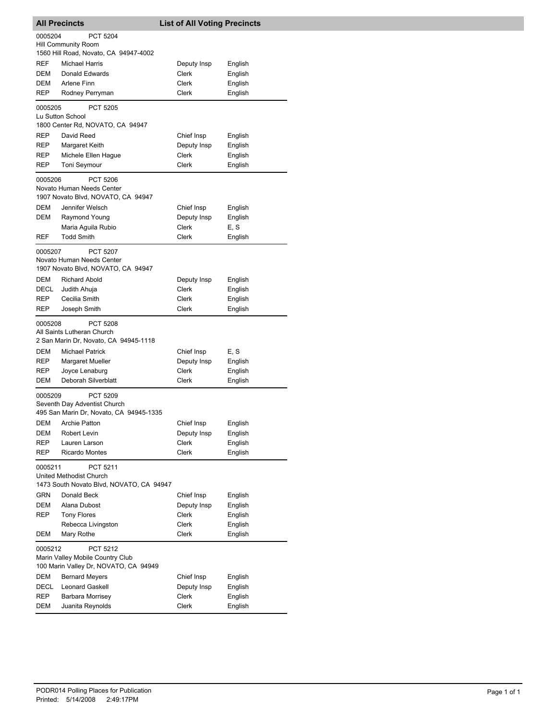| <b>All Precincts</b> |                                                                     | <b>List of All Voting Precincts</b> |                    |
|----------------------|---------------------------------------------------------------------|-------------------------------------|--------------------|
| 0005204              | PCT 5204                                                            |                                     |                    |
|                      | Hill Community Room                                                 |                                     |                    |
|                      | 1560 Hill Road, Novato, CA 94947-4002                               |                                     |                    |
| <b>REF</b>           | <b>Michael Harris</b>                                               | Deputy Insp                         | English            |
| DEM<br>DEM           | Donald Edwards<br>Arlene Finn                                       | Clerk<br>Clerk                      | English            |
| REP                  | Rodney Perryman                                                     | Clerk                               | English<br>English |
|                      |                                                                     |                                     |                    |
| 0005205              | PCT 5205<br>Lu Sutton School                                        |                                     |                    |
|                      | 1800 Center Rd, NOVATO, CA 94947                                    |                                     |                    |
| REP                  | David Reed                                                          | Chief Insp                          | English            |
| <b>REP</b>           | Margaret Keith                                                      | Deputy Insp                         | English            |
| REP                  | Michele Ellen Hague                                                 | Clerk                               | English            |
| REP                  | Toni Seymour                                                        | Clerk                               | English            |
| 0005206              | PCT 5206                                                            |                                     |                    |
|                      | Novato Human Needs Center                                           |                                     |                    |
|                      | 1907 Novato Blvd, NOVATO, CA 94947                                  |                                     |                    |
| <b>DEM</b><br>DEM    | Jennifer Welsch                                                     | Chief Insp                          | English            |
|                      | Raymond Young<br>Maria Aguila Rubio                                 | Deputy Insp<br>Clerk                | English<br>E, S    |
| <b>REF</b>           | <b>Todd Smith</b>                                                   | Clerk                               | English            |
|                      |                                                                     |                                     |                    |
| 0005207              | PCT 5207<br>Novato Human Needs Center                               |                                     |                    |
|                      | 1907 Novato Blvd, NOVATO, CA 94947                                  |                                     |                    |
| DEM                  | <b>Richard Abold</b>                                                | Deputy Insp                         | English            |
| DECL                 | Judith Ahuja                                                        | Clerk                               | English            |
| REP                  | Cecilia Smith                                                       | Clerk                               | English            |
| REP                  | Joseph Smith                                                        | Clerk                               | English            |
| 0005208              | <b>PCT 5208</b>                                                     |                                     |                    |
|                      | All Saints Lutheran Church<br>2 San Marin Dr, Novato, CA 94945-1118 |                                     |                    |
| DEM                  | Michael Patrick                                                     | Chief Insp                          | E, S               |
| REP                  | Margaret Mueller                                                    | Deputy Insp                         | English            |
| REP                  | Joyce Lenaburg                                                      | Clerk                               | English            |
| DEM                  | Deborah Silverblatt                                                 | Clerk                               | English            |
| 0005209              | <b>PCT 5209</b>                                                     |                                     |                    |
|                      | Seventh Day Adventist Church                                        |                                     |                    |
|                      | 495 San Marin Dr, Novato, CA 94945-1335                             |                                     |                    |
| DEM                  | <b>Archie Patton</b>                                                | Chief Insp                          | English            |
| DEM                  | Robert Levin                                                        | Deputy Insp                         | English            |
| REP<br>REP           | Lauren Larson<br><b>Ricardo Montes</b>                              | Clerk<br>Clerk                      | English<br>English |
|                      |                                                                     |                                     |                    |
| 0005211              | PCT 5211<br>United Methodist Church                                 |                                     |                    |
|                      | 1473 South Novato Blvd, NOVATO, CA 94947                            |                                     |                    |
| <b>GRN</b>           | Donald Beck                                                         | Chief Insp                          | English            |
| DEM                  | Alana Dubost                                                        | Deputy Insp                         | English            |
| REP                  | <b>Tony Flores</b>                                                  | Clerk                               | English            |
|                      | Rebecca Livingston                                                  | Clerk                               | English            |
| DEM                  | Mary Rothe                                                          | Clerk                               | English            |
| 0005212              | PCT 5212                                                            |                                     |                    |
|                      | Marin Valley Mobile Country Club                                    |                                     |                    |
|                      | 100 Marin Valley Dr, NOVATO, CA 94949                               |                                     |                    |
| DEM                  | <b>Bernard Meyers</b>                                               | Chief Insp                          | English            |
| DECL<br>REP          | <b>Leonard Gaskell</b><br>Barbara Morrisey                          | Deputy Insp<br>Clerk                | English<br>English |
| DEM                  | Juanita Reynolds                                                    | Clerk                               | English            |
|                      |                                                                     |                                     |                    |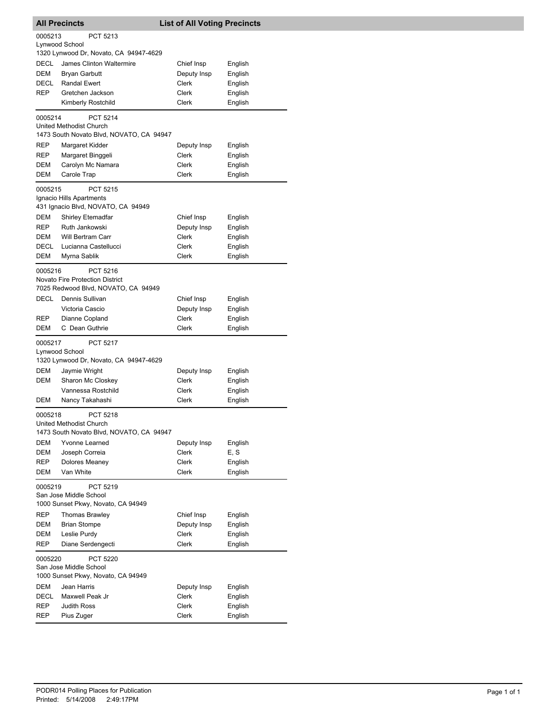|             | <b>All Precincts</b>                               | <b>List of All Voting Precincts</b> |                    |
|-------------|----------------------------------------------------|-------------------------------------|--------------------|
| 0005213     | PCT 5213                                           |                                     |                    |
|             | Lynwood School                                     |                                     |                    |
|             | 1320 Lynwood Dr, Novato, CA 94947-4629             |                                     |                    |
| DECL        | James Clinton Waltermire                           | Chief Insp                          | English            |
| DEM         | <b>Bryan Garbutt</b>                               | Deputy Insp                         | English            |
| DECL        | <b>Randal Ewert</b>                                | Clerk                               | English            |
| <b>REP</b>  | Gretchen Jackson                                   | Clerk                               | English            |
|             | Kimberly Rostchild                                 | Clerk                               | English            |
| 0005214     | <b>PCT 5214</b>                                    |                                     |                    |
|             | United Methodist Church                            |                                     |                    |
|             | 1473 South Novato Blvd, NOVATO, CA 94947           |                                     |                    |
| REP         | Margaret Kidder                                    | Deputy Insp                         | English            |
| REP         | Margaret Binggeli                                  | Clerk                               | English            |
| DEM         | Carolyn Mc Namara                                  | Clerk                               | English            |
| DEM         | Carole Trap                                        | Clerk                               | English            |
| 0005215     | PCT 5215                                           |                                     |                    |
|             | Ignacio Hills Apartments                           |                                     |                    |
|             | 431 Ignacio Blvd, NOVATO, CA 94949                 |                                     |                    |
| <b>DEM</b>  | <b>Shirley Etemadfar</b>                           | Chief Insp                          | English            |
| REP         | Ruth Jankowski                                     | Deputy Insp                         | English            |
| DEM         | Will Bertram Carr                                  | Clerk                               | English            |
| DECL        | Lucianna Castellucci                               | Clerk                               | English            |
| DEM         | Myrna Sablik                                       | Clerk                               | English            |
|             |                                                    |                                     |                    |
| 0005216     | PCT 5216<br><b>Novato Fire Protection District</b> |                                     |                    |
|             | 7025 Redwood Blvd, NOVATO, CA 94949                |                                     |                    |
| DECL        |                                                    |                                     |                    |
|             | Dennis Sullivan                                    | Chief Insp                          | English            |
| REP         | Victoria Cascio<br>Dianne Copland                  | Deputy Insp<br><b>Clerk</b>         | English<br>English |
| <b>DEM</b>  | C Dean Guthrie                                     | Clerk                               | English            |
|             |                                                    |                                     |                    |
| 0005217     | <b>PCT 5217</b>                                    |                                     |                    |
|             | Lynwood School                                     |                                     |                    |
|             | 1320 Lynwood Dr, Novato, CA 94947-4629             |                                     |                    |
| <b>DEM</b>  | Jaymie Wright                                      | Deputy Insp                         | English            |
| DEM         | Sharon Mc Closkey                                  | Clerk                               | English            |
|             | Vannessa Rostchild                                 | <b>Clerk</b><br>Clerk               | English            |
| DEM         | Nancy Takahashi                                    |                                     | English            |
| 0005218     | PCT 5218                                           |                                     |                    |
|             | <b>United Methodist Church</b>                     |                                     |                    |
|             | 1473 South Novato Blvd, NOVATO, CA 94947           |                                     |                    |
| DEM         | Yvonne Learned                                     | Deputy Insp                         | English            |
| DEM         | Joseph Correia                                     | Clerk                               | E, S               |
| REP         | Dolores Meaney                                     | Clerk                               | English            |
| DEM         | Van White                                          | Clerk                               | English            |
| 0005219     | PCT 5219                                           |                                     |                    |
|             | San Jose Middle School                             |                                     |                    |
|             | 1000 Sunset Pkwy, Novato, CA 94949                 |                                     |                    |
| REP         | <b>Thomas Brawley</b>                              | Chief Insp                          | English            |
| DEM         | <b>Brian Stompe</b>                                | Deputy Insp                         | English            |
| DEM         | Leslie Purdy                                       | Clerk                               | English            |
| <b>REP</b>  | Diane Serdengecti                                  | Clerk                               | English            |
| 0005220     | PCT 5220                                           |                                     |                    |
|             | San Jose Middle School                             |                                     |                    |
|             | 1000 Sunset Pkwy, Novato, CA 94949                 |                                     |                    |
| DEM         | Jean Harris                                        | Deputy Insp                         | English            |
| <b>DECL</b> | Maxwell Peak Jr                                    | Clerk                               | English            |
| <b>REP</b>  | <b>Judith Ross</b>                                 | Clerk                               | English            |
| REP         | Pius Zuger                                         | Clerk                               | English            |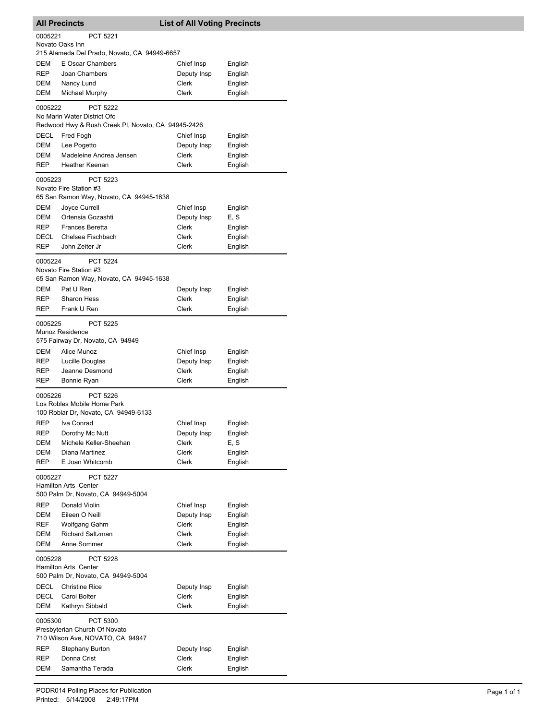| <b>All Precincts</b><br><b>List of All Voting Precincts</b> |                                                                                   |                             |                    |
|-------------------------------------------------------------|-----------------------------------------------------------------------------------|-----------------------------|--------------------|
| 0005221                                                     | <b>PCT 5221</b>                                                                   |                             |                    |
|                                                             | Novato Oaks Inn                                                                   |                             |                    |
|                                                             | 215 Alameda Del Prado, Novato, CA 94949-6657                                      |                             |                    |
| <b>DEM</b>                                                  | E Oscar Chambers                                                                  | Chief Insp                  | English            |
| <b>REP</b><br>DEM                                           | Joan Chambers<br>Nancy Lund                                                       | Deputy Insp<br>Clerk        | English<br>English |
| DEM                                                         | Michael Murphy                                                                    | Clerk                       | English            |
|                                                             |                                                                                   |                             |                    |
| 0005222                                                     | PCT 5222                                                                          |                             |                    |
|                                                             | No Marin Water District Ofc<br>Redwood Hwy & Rush Creek PI, Novato, CA 94945-2426 |                             |                    |
| DECL                                                        | Fred Fogh                                                                         | Chief Insp                  | English            |
| DEM                                                         | Lee Pogetto                                                                       | Deputy Insp                 | English            |
| DEM                                                         | Madeleine Andrea Jensen                                                           | Clerk                       | English            |
| <b>REP</b>                                                  | Heather Keenan                                                                    | Clerk                       | English            |
| 0005223                                                     | PCT 5223                                                                          |                             |                    |
|                                                             | Novato Fire Station #3                                                            |                             |                    |
|                                                             | 65 San Ramon Way, Novato, CA 94945-1638                                           |                             |                    |
| <b>DEM</b>                                                  | Joyce Currell                                                                     | Chief Insp                  | English            |
| DEM                                                         | Ortensia Gozashti                                                                 | Deputy Insp                 | E, S               |
| <b>REP</b>                                                  | <b>Frances Beretta</b>                                                            | Clerk                       | English            |
| DECL                                                        | Chelsea Fischbach                                                                 | Clerk                       | English            |
| <b>REP</b>                                                  | John Zeiter Jr                                                                    | <b>Clerk</b>                | English            |
| 0005224                                                     | <b>PCT 5224</b>                                                                   |                             |                    |
|                                                             | Novato Fire Station #3                                                            |                             |                    |
|                                                             | 65 San Ramon Way, Novato, CA 94945-1638                                           |                             |                    |
| DEM                                                         | Pat U Ren                                                                         | Deputy Insp                 | English            |
| REP                                                         | <b>Sharon Hess</b>                                                                | Clerk                       | English            |
| <b>REP</b>                                                  | Frank U Ren                                                                       | Clerk                       | English            |
| 0005225                                                     | PCT 5225                                                                          |                             |                    |
|                                                             | Munoz Residence                                                                   |                             |                    |
|                                                             | 575 Fairway Dr, Novato, CA 94949                                                  |                             |                    |
| DEM                                                         | Alice Munoz                                                                       | Chief Insp                  | English            |
| REP                                                         | Lucille Douglas                                                                   | Deputy Insp                 | English            |
| <b>REP</b>                                                  | Jeanne Desmond                                                                    | Clerk                       | English            |
| <b>REP</b>                                                  | Bonnie Ryan                                                                       | Clerk                       | English            |
| 0005226                                                     | PCT 5226                                                                          |                             |                    |
|                                                             | Los Robles Mobile Home Park                                                       |                             |                    |
|                                                             | 100 Roblar Dr, Novato, CA 94949-6133                                              |                             |                    |
| <b>REP</b>                                                  | Iva Conrad                                                                        | Chief Insp                  | English            |
| <b>REP</b>                                                  | Dorothy Mc Nutt<br>Michele Keller-Sheehan                                         | Deputy Insp<br><b>Clerk</b> | English            |
| DEM<br>DEM                                                  | Diana Martinez                                                                    | Clerk                       | E, S<br>English    |
| REP                                                         | E Joan Whitcomb                                                                   | Clerk                       | English            |
|                                                             |                                                                                   |                             |                    |
| 0005227                                                     | PCT 5227                                                                          |                             |                    |
|                                                             | Hamilton Arts Center<br>500 Palm Dr, Novato, CA 94949-5004                        |                             |                    |
| <b>REP</b>                                                  | Donald Violin                                                                     | Chief Insp                  | English            |
| DEM                                                         | Eileen O Neill                                                                    | Deputy Insp                 | English            |
| <b>REF</b>                                                  | Wolfgang Gahm                                                                     | Clerk                       | English            |
| DEM                                                         | <b>Richard Saltzman</b>                                                           | Clerk                       | English            |
| DEM                                                         | Anne Sommer                                                                       | Clerk                       | English            |
| 0005228                                                     | PCT 5228                                                                          |                             |                    |
|                                                             | Hamilton Arts Center                                                              |                             |                    |
|                                                             | 500 Palm Dr, Novato, CA 94949-5004                                                |                             |                    |
| DECL                                                        | <b>Christine Rice</b>                                                             | Deputy Insp                 | English            |
| DECL                                                        | Carol Bolter                                                                      | Clerk                       | English            |
| DEM                                                         | Kathryn Sibbald                                                                   | Clerk                       | English            |
| 0005300                                                     | PCT 5300                                                                          |                             |                    |
|                                                             | Presbyterian Church Of Novato                                                     |                             |                    |
|                                                             | 710 Wilson Ave, NOVATO, CA 94947                                                  |                             |                    |
| REP                                                         | <b>Stephany Burton</b>                                                            | Deputy Insp                 | English            |
| REP                                                         | Donna Crist                                                                       | Clerk                       | English            |
| DEM                                                         | Samantha Terada                                                                   | Clerk                       | English            |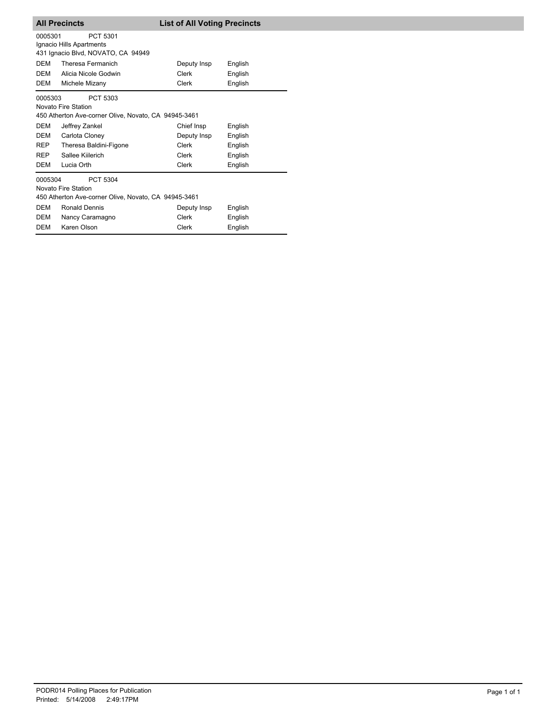|                                                                                                    | <b>All Precincts</b>                                                                    | <b>List of All Voting Precincts</b> |         |  |
|----------------------------------------------------------------------------------------------------|-----------------------------------------------------------------------------------------|-------------------------------------|---------|--|
| 0005301                                                                                            | PCT 5301<br>Ignacio Hills Apartments<br>431 Ignacio Blvd, NOVATO, CA 94949              |                                     |         |  |
| <b>DFM</b>                                                                                         | Theresa Fermanich                                                                       | Deputy Insp                         | English |  |
| DEM                                                                                                | Alicia Nicole Godwin                                                                    | Clerk                               | English |  |
| DEM                                                                                                | Michele Mizany                                                                          | Clerk                               | English |  |
| 0005303                                                                                            | PCT 5303<br>Novato Fire Station<br>450 Atherton Ave-corner Olive, Novato, CA 94945-3461 |                                     |         |  |
| DEM                                                                                                | Jeffrey Zankel                                                                          | Chief Insp                          | English |  |
| <b>DEM</b>                                                                                         | Carlota Cloney                                                                          | Deputy Insp                         | English |  |
| <b>REP</b>                                                                                         | Theresa Baldini-Figone                                                                  | Clerk                               | English |  |
| <b>REP</b>                                                                                         | Sallee Kiilerich                                                                        | Clerk                               | English |  |
| DEM                                                                                                | Lucia Orth                                                                              | Clerk                               | English |  |
| 0005304<br>PCT 5304<br>Novato Fire Station<br>450 Atherton Ave-corner Olive, Novato, CA 94945-3461 |                                                                                         |                                     |         |  |
| <b>DEM</b>                                                                                         | <b>Ronald Dennis</b>                                                                    | Deputy Insp                         | English |  |
| DEM                                                                                                | Nancy Caramagno                                                                         | Clerk                               | English |  |
| DEM                                                                                                | Karen Olson                                                                             | Clerk                               | English |  |
|                                                                                                    |                                                                                         |                                     |         |  |